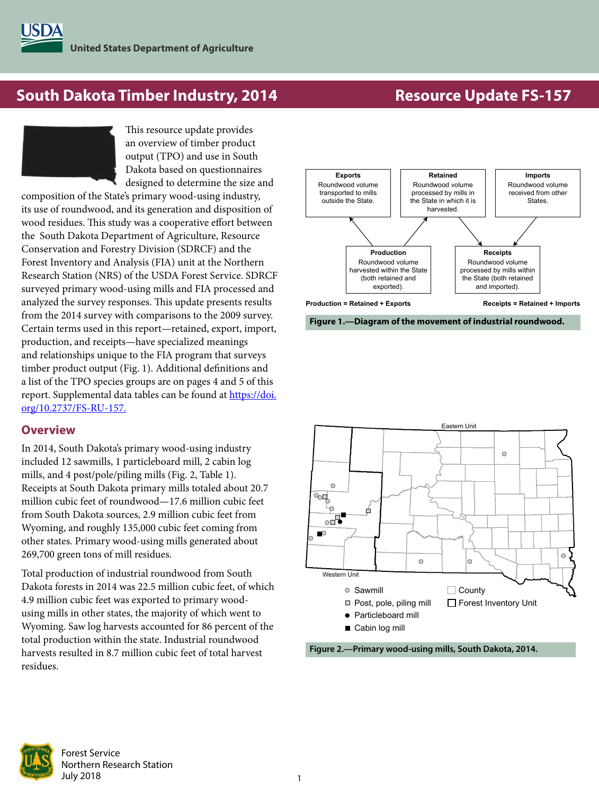# **South Dakota Timber Industry, 2014 Resource Update FS-157**

This resource update provides an overview of timber product output (TPO) and use in South Dakota based on questionnaires designed to determine the size and

composition of the State's primary wood-using industry, its use of roundwood, and its generation and disposition of wood residues. This study was a cooperative effort between the South Dakota Department of Agriculture, Resource Conservation and Forestry Division (SDRCF) and the Forest Inventory and Analysis (FIA) unit at the Northern Research Station (NRS) of the USDA Forest Service. SDRCF surveyed primary wood-using mills and FIA processed and analyzed the survey responses. This update presents results from the 2014 survey with comparisons to the 2009 survey. Certain terms used in this report—retained, export, import, production, and receipts—have specialized meanings and relationships unique to the FIA program that surveys timber product output (Fig. 1). Additional definitions and a list of the TPO species groups are on pages 4 and 5 of this report. Supplemental data tables can be found at [https://doi.](https://doi.org/10.2737/FS-RU-157) [org/10.2737/FS-RU-157.](https://doi.org/10.2737/FS-RU-157)

## **Overview**

In 2014, South Dakota's primary wood-using industry included 12 sawmills, 1 particleboard mill, 2 cabin log mills, and 4 post/pole/piling mills (Fig. 2, Table 1). Receipts at South Dakota primary mills totaled about 20.7 million cubic feet of roundwood—17.6 million cubic feet from South Dakota sources, 2.9 million cubic feet from Wyoming, and roughly 135,000 cubic feet coming from other states. Primary wood-using mills generated about 269,700 green tons of mill residues.

Total production of industrial roundwood from South Dakota forests in 2014 was 22.5 million cubic feet, of which 4.9 million cubic feet was exported to primary woodusing mills in other states, the majority of which went to Wyoming. Saw log harvests accounted for 86 percent of the total production within the state. Industrial roundwood harvests resulted in 8.7 million cubic feet of total harvest residues.



**Figure 1.—Diagram of the movement of industrial roundwood.**







Forest Service Northern Research Station July 2018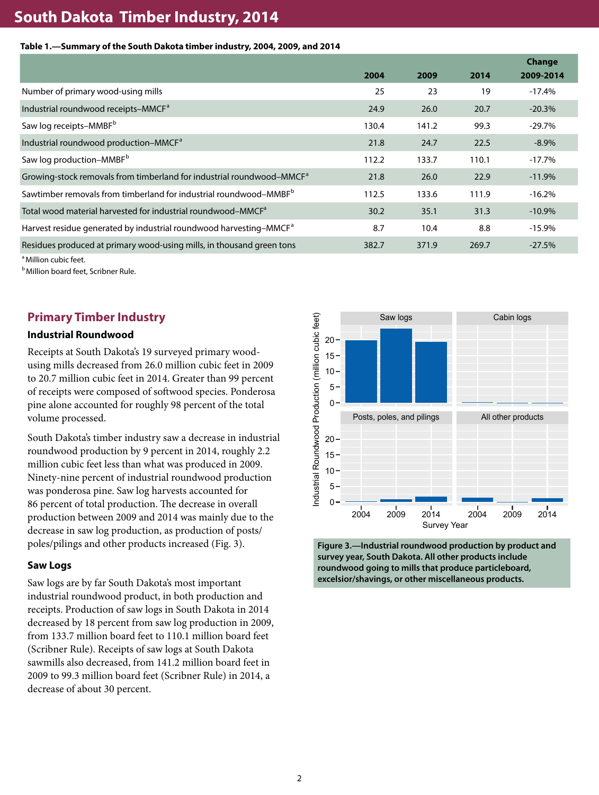# **South Dakota Timber Industry, 2014**

#### **Table 1.—Summary of the South Dakota timber industry, 2004, 2009, and 2014**

|                                                                                   |       |       |       | Change    |
|-----------------------------------------------------------------------------------|-------|-------|-------|-----------|
|                                                                                   | 2004  | 2009  | 2014  | 2009-2014 |
| Number of primary wood-using mills                                                | 25    | 23    | 19    | $-17.4%$  |
| Industrial roundwood receipts–MMCF <sup>a</sup>                                   | 24.9  | 26.0  | 20.7  | $-20.3%$  |
| Saw log receipts-MMBF <sup>b</sup>                                                | 130.4 | 141.2 | 99.3  | $-29.7%$  |
| Industrial roundwood production-MMCF <sup>a</sup>                                 | 21.8  | 24.7  | 22.5  | $-8.9%$   |
| Saw log production-MMBF <sup>b</sup>                                              | 112.2 | 133.7 | 110.1 | $-17.7\%$ |
| Growing-stock removals from timberland for industrial roundwood–MMCF <sup>a</sup> | 21.8  | 26.0  | 22.9  | $-11.9%$  |
| Sawtimber removals from timberland for industrial roundwood-MMBF <sup>b</sup>     | 112.5 | 133.6 | 111.9 | $-16.2%$  |
| Total wood material harvested for industrial roundwood-MMCF <sup>a</sup>          | 30.2  | 35.1  | 31.3  | $-10.9%$  |
| Harvest residue generated by industrial roundwood harvesting-MMCF <sup>a</sup>    | 8.7   | 10.4  | 8.8   | $-15.9%$  |
| Residues produced at primary wood-using mills, in thousand green tons             | 382.7 | 371.9 | 269.7 | $-27.5%$  |

<sup>a</sup> Million cubic feet.

**b** Million board feet, Scribner Rule.

## **Primary Timber Industry**

#### **Industrial Roundwood**

Receipts at South Dakota's 19 surveyed primary woodusing mills decreased from 26.0 million cubic feet in 2009 to 20.7 million cubic feet in 2014. Greater than 99 percent of receipts were composed of softwood species. Ponderosa pine alone accounted for roughly 98 percent of the total volume processed.

South Dakota's timber industry saw a decrease in industrial roundwood production by 9 percent in 2014, roughly 2.2 million cubic feet less than what was produced in 2009. Ninety-nine percent of industrial roundwood production was ponderosa pine. Saw log harvests accounted for 86 percent of total production. The decrease in overall production between 2009 and 2014 was mainly due to the decrease in saw log production, as production of posts/ poles/pilings and other products increased (Fig. 3).

#### **Saw Logs**

Saw logs are by far South Dakota's most important industrial roundwood product, in both production and receipts. Production of saw logs in South Dakota in 2014 decreased by 18 percent from saw log production in 2009, from 133.7 million board feet to 110.1 million board feet (Scribner Rule). Receipts of saw logs at South Dakota sawmills also decreased, from 141.2 million board feet in 2009 to 99.3 million board feet (Scribner Rule) in 2014, a decrease of about 30 percent.



**Figure 3.—Industrial roundwood production by product and survey year, South Dakota. All other products include roundwood going to mills that produce particleboard, excelsior/shavings, or other miscellaneous products.**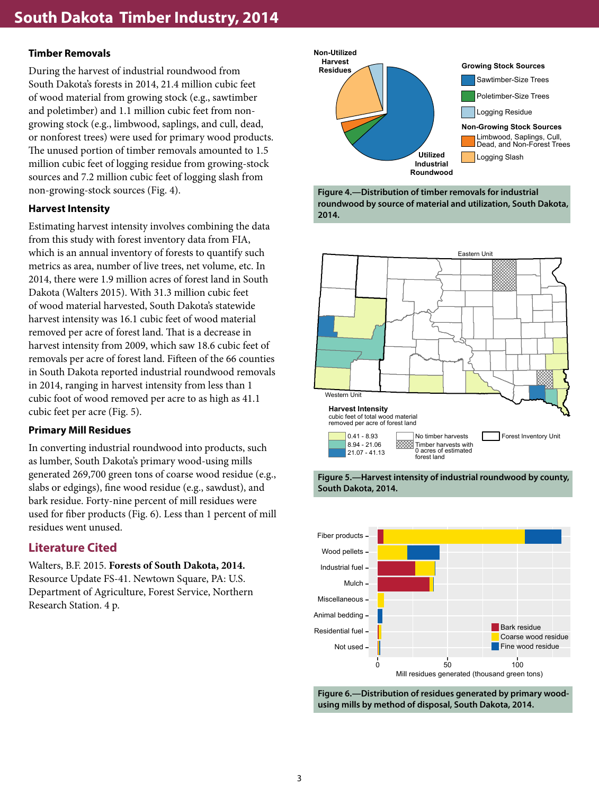### **Timber Removals**

During the harvest of industrial roundwood from South Dakota's forests in 2014, 21.4 million cubic feet of wood material from growing stock (e.g., sawtimber and poletimber) and 1.1 million cubic feet from nongrowing stock (e.g., limbwood, saplings, and cull, dead, or nonforest trees) were used for primary wood products. The unused portion of timber removals amounted to 1.5 million cubic feet of logging residue from growing-stock sources and 7.2 million cubic feet of logging slash from non-growing-stock sources (Fig. 4).

#### **Harvest Intensity**

Estimating harvest intensity involves combining the data from this study with forest inventory data from FIA, which is an annual inventory of forests to quantify such metrics as area, number of live trees, net volume, etc. In 2014, there were 1.9 million acres of forest land in South Dakota (Walters 2015). With 31.3 million cubic feet of wood material harvested, South Dakota's statewide harvest intensity was 16.1 cubic feet of wood material removed per acre of forest land. That is a decrease in harvest intensity from 2009, which saw 18.6 cubic feet of removals per acre of forest land. Fifteen of the 66 counties in South Dakota reported industrial roundwood removals in 2014, ranging in harvest intensity from less than 1 cubic foot of wood removed per acre to as high as 41.1 cubic feet per acre (Fig. 5).

#### **Primary Mill Residues**

In converting industrial roundwood into products, such as lumber, South Dakota's primary wood-using mills generated 269,700 green tons of coarse wood residue (e.g., slabs or edgings), fine wood residue (e.g., sawdust), and bark residue. Forty-nine percent of mill residues were used for fiber products (Fig. 6). Less than 1 percent of mill residues went unused.

# **Literature Cited**

Walters, B.F. 2015. **Forests of South Dakota, 2014.** Resource Update FS-41. Newtown Square, PA: U.S. Department of Agriculture, Forest Service, Northern Research Station. 4 p.











**Figure 6.—Distribution of residues generated by primary woodusing mills by method of disposal, South Dakota, 2014.**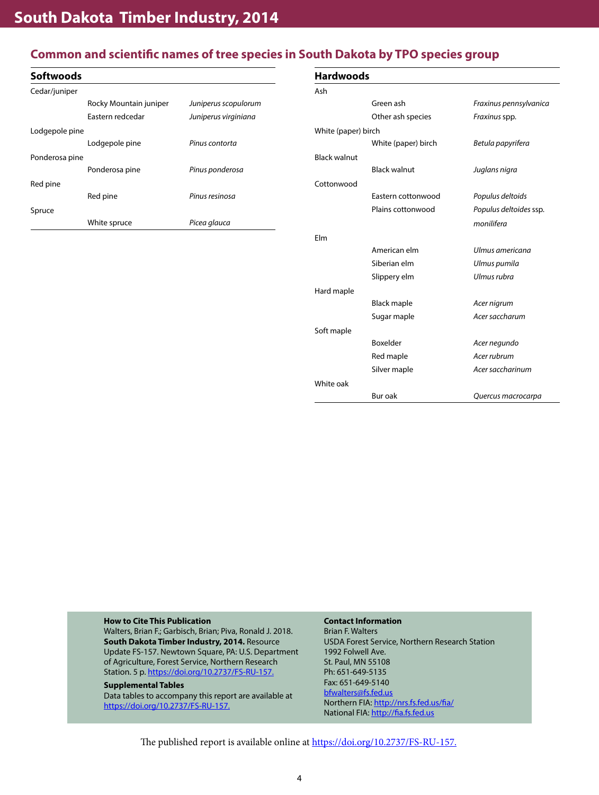# **Common and scientific names of tree species in South Dakota by TPO species group**

| <b>Softwoods</b> |                        |                      |
|------------------|------------------------|----------------------|
| Cedar/juniper    |                        |                      |
|                  | Rocky Mountain juniper | Juniperus scopulorum |
|                  | Fastern redcedar       | Juniperus virginiana |
| Lodgepole pine   |                        |                      |
|                  | Lodgepole pine         | Pinus contorta       |
| Ponderosa pine   |                        |                      |
|                  | Ponderosa pine         | Pinus ponderosa      |
| Red pine         |                        |                      |
|                  | Red pine               | Pinus resinosa       |
| Spruce           |                        |                      |
|                  | White spruce           | Picea glauca         |

| <b>Hardwoods</b>    |                     |                        |  |  |  |  |  |  |
|---------------------|---------------------|------------------------|--|--|--|--|--|--|
| Ash                 |                     |                        |  |  |  |  |  |  |
|                     | Green ash           | Fraxinus pennsylvanica |  |  |  |  |  |  |
|                     | Other ash species   | Fraxinus spp.          |  |  |  |  |  |  |
| White (paper) birch |                     |                        |  |  |  |  |  |  |
|                     | White (paper) birch | Betula papyrifera      |  |  |  |  |  |  |
| <b>Black walnut</b> |                     |                        |  |  |  |  |  |  |
|                     | <b>Black walnut</b> | Juglans nigra          |  |  |  |  |  |  |
| Cottonwood          |                     |                        |  |  |  |  |  |  |
|                     | Eastern cottonwood  | Populus deltoids       |  |  |  |  |  |  |
|                     | Plains cottonwood   | Populus deltoides ssp. |  |  |  |  |  |  |
|                     |                     | monilifera             |  |  |  |  |  |  |
| Flm                 |                     |                        |  |  |  |  |  |  |
|                     | American elm        | Ulmus americana        |  |  |  |  |  |  |
|                     | Siberian elm        | Ulmus pumila           |  |  |  |  |  |  |
|                     | Slippery elm        | Ulmus rubra            |  |  |  |  |  |  |
| Hard maple          |                     |                        |  |  |  |  |  |  |
|                     | Black maple         | Acer nigrum            |  |  |  |  |  |  |
|                     | Sugar maple         | Acer saccharum         |  |  |  |  |  |  |
| Soft maple          |                     |                        |  |  |  |  |  |  |
|                     | Boxelder            | Acer negundo           |  |  |  |  |  |  |
|                     | Red maple           | Acer rubrum            |  |  |  |  |  |  |
|                     | Silver maple        | Acer saccharinum       |  |  |  |  |  |  |
| White oak           |                     |                        |  |  |  |  |  |  |
|                     | Bur oak             | Quercus macrocarpa     |  |  |  |  |  |  |

#### **How to Cite This Publication**

Walters, Brian F.; Garbisch, Brian; Piva, Ronald J. 2018. **South Dakota Timber Industry, 2014.** Resource Update FS-157. Newtown Square, PA: U.S. Department of Agriculture, Forest Service, Northern Research Station. 5 p. [https://doi.org/10.2737/FS-RU-157.](https://doi.org/10.2737/FS-RU-157)

#### **Supplemental Tables**

Data tables to accompany this report are available at [https://doi.org/10.2737/FS-RU-157.](https://doi.org/10.2737/FS-RU-157)

#### **Contact Information**

Brian F. Walters USDA Forest Service, Northern Research Station 1992 Folwell Ave. St. Paul, MN 55108 Ph: 651-649-5135 Fax: 651-649-5140 [bfwalters@fs.fed.us](mailto:bfwalters@fs.fed.us) Northern FIA:<http://nrs.fs.fed.us/fia/> National FIA: <http://fia.fs.fed.us>

The published report is available online at [https://doi.org/10.2737/FS-RU-157.](https://doi.org/10.2737/FS-RU-157)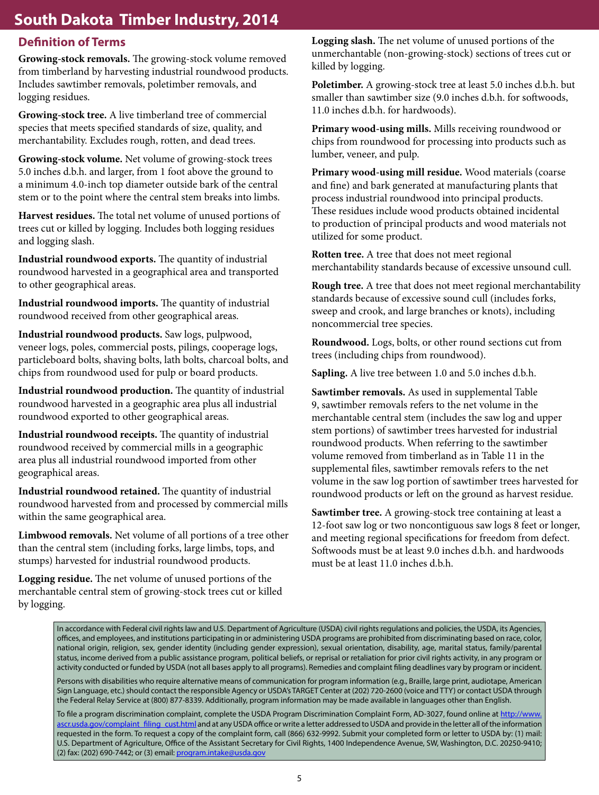# **Definition of Terms**

**Growing-stock removals.** The growing-stock volume removed from timberland by harvesting industrial roundwood products. Includes sawtimber removals, poletimber removals, and logging residues.

**Growing-stock tree.** A live timberland tree of commercial species that meets specified standards of size, quality, and merchantability. Excludes rough, rotten, and dead trees.

**Growing-stock volume.** Net volume of growing-stock trees 5.0 inches d.b.h. and larger, from 1 foot above the ground to a minimum 4.0-inch top diameter outside bark of the central stem or to the point where the central stem breaks into limbs.

**Harvest residues.** The total net volume of unused portions of trees cut or killed by logging. Includes both logging residues and logging slash.

**Industrial roundwood exports.** The quantity of industrial roundwood harvested in a geographical area and transported to other geographical areas.

**Industrial roundwood imports.** The quantity of industrial roundwood received from other geographical areas.

**Industrial roundwood products.** Saw logs, pulpwood, veneer logs, poles, commercial posts, pilings, cooperage logs, particleboard bolts, shaving bolts, lath bolts, charcoal bolts, and chips from roundwood used for pulp or board products.

**Industrial roundwood production.** The quantity of industrial roundwood harvested in a geographic area plus all industrial roundwood exported to other geographical areas.

**Industrial roundwood receipts.** The quantity of industrial roundwood received by commercial mills in a geographic area plus all industrial roundwood imported from other geographical areas.

**Industrial roundwood retained.** The quantity of industrial roundwood harvested from and processed by commercial mills within the same geographical area.

**Limbwood removals.** Net volume of all portions of a tree other than the central stem (including forks, large limbs, tops, and stumps) harvested for industrial roundwood products.

**Logging residue.** The net volume of unused portions of the merchantable central stem of growing-stock trees cut or killed by logging.

**Logging slash.** The net volume of unused portions of the unmerchantable (non-growing-stock) sections of trees cut or killed by logging.

**Poletimber.** A growing-stock tree at least 5.0 inches d.b.h. but smaller than sawtimber size (9.0 inches d.b.h. for softwoods, 11.0 inches d.b.h. for hardwoods).

**Primary wood-using mills.** Mills receiving roundwood or chips from roundwood for processing into products such as lumber, veneer, and pulp.

**Primary wood-using mill residue.** Wood materials (coarse and fine) and bark generated at manufacturing plants that process industrial roundwood into principal products. These residues include wood products obtained incidental to production of principal products and wood materials not utilized for some product.

**Rotten tree.** A tree that does not meet regional merchantability standards because of excessive unsound cull.

**Rough tree.** A tree that does not meet regional merchantability standards because of excessive sound cull (includes forks, sweep and crook, and large branches or knots), including noncommercial tree species.

**Roundwood.** Logs, bolts, or other round sections cut from trees (including chips from roundwood).

**Sapling.** A live tree between 1.0 and 5.0 inches d.b.h.

**Sawtimber removals.** As used in supplemental Table 9, sawtimber removals refers to the net volume in the merchantable central stem (includes the saw log and upper stem portions) of sawtimber trees harvested for industrial roundwood products. When referring to the sawtimber volume removed from timberland as in Table 11 in the supplemental files, sawtimber removals refers to the net volume in the saw log portion of sawtimber trees harvested for roundwood products or left on the ground as harvest residue.

**Sawtimber tree.** A growing-stock tree containing at least a 12-foot saw log or two noncontiguous saw logs 8 feet or longer, and meeting regional specifications for freedom from defect. Softwoods must be at least 9.0 inches d.b.h. and hardwoods must be at least 11.0 inches d.b.h.

In accordance with Federal civil rights law and U.S. Department of Agriculture (USDA) civil rights regulations and policies, the USDA, its Agencies, offices, and employees, and institutions participating in or administering USDA programs are prohibited from discriminating based on race, color, national origin, religion, sex, gender identity (including gender expression), sexual orientation, disability, age, marital status, family/parental status, income derived from a public assistance program, political beliefs, or reprisal or retaliation for prior civil rights activity, in any program or activity conducted or funded by USDA (not all bases apply to all programs). Remedies and complaint filing deadlines vary by program or incident.

Persons with disabilities who require alternative means of communication for program information (e.g., Braille, large print, audiotape, American Sign Language, etc.) should contact the responsible Agency or USDA's TARGET Center at (202) 720-2600 (voice and TTY) or contact USDA through the Federal Relay Service at (800) 877-8339. Additionally, program information may be made available in languages other than English.

To file a program discrimination complaint, complete the USDA Program Discrimination Complaint Form, AD-3027, found online at [http://www.](https://www.ascr.usda.gov/filing-program-discrimination-complaint-usda-customer) [ascr.usda.gov/complaint\\_filing\\_cust.html](https://www.ascr.usda.gov/filing-program-discrimination-complaint-usda-customer) and at any USDA office or write a letter addressed to USDA and provide in the letter all of the information requested in the form. To request a copy of the complaint form, call (866) 632-9992. Submit your completed form or letter to USDA by: (1) mail: U.S. Department of Agriculture, Office of the Assistant Secretary for Civil Rights, 1400 Independence Avenue, SW, Washington, D.C. 20250-9410; (2) fax: (202) 690-7442; or (3) email: [program.intake@usda.gov](mailto:program.intake@usda.gov)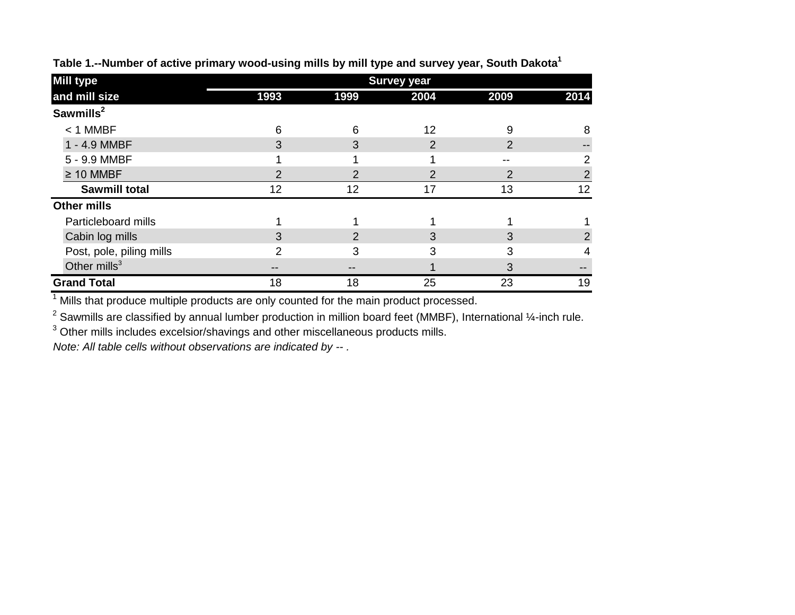| <b>Mill type</b>         | <b>Survey year</b> |      |                |      |                |  |  |  |
|--------------------------|--------------------|------|----------------|------|----------------|--|--|--|
| and mill size            | 1993               | 1999 | 2004           | 2009 | 2014           |  |  |  |
| Sawmills <sup>2</sup>    |                    |      |                |      |                |  |  |  |
| $<$ 1 MMBF               | 6                  | 6    | 12             | 9    | 8              |  |  |  |
| 1 - 4.9 MMBF             | 3                  | 3    | $\overline{2}$ | 2    |                |  |  |  |
| 5 - 9.9 MMBF             |                    |      |                | --   |                |  |  |  |
| $\geq 10$ MMBF           | າ                  | 2    | $\overline{2}$ | 2    | $\overline{2}$ |  |  |  |
| <b>Sawmill total</b>     | 12                 | 12   | 17             | 13   | 12             |  |  |  |
| <b>Other mills</b>       |                    |      |                |      |                |  |  |  |
| Particleboard mills      |                    |      |                |      |                |  |  |  |
| Cabin log mills          | 3                  | 2    | 3              | 3    | 2              |  |  |  |
| Post, pole, piling mills | ⌒                  | 3    | 3              | 3    |                |  |  |  |
| Other $mills3$           |                    |      |                | 3    |                |  |  |  |
| <b>Grand Total</b>       | 18                 | 18   | 25             | 23   | 19             |  |  |  |

**Table 1.--Number of active primary wood-using mills by mill type and survey year, South Dakota1**

 $1$  Mills that produce multiple products are only counted for the main product processed.

<sup>2</sup> Sawmills are classified by annual lumber production in million board feet (MMBF), International ¼-inch rule.

 $3$  Other mills includes excelsior/shavings and other miscellaneous products mills.

*Note: All table cells without observations are indicated by -- .*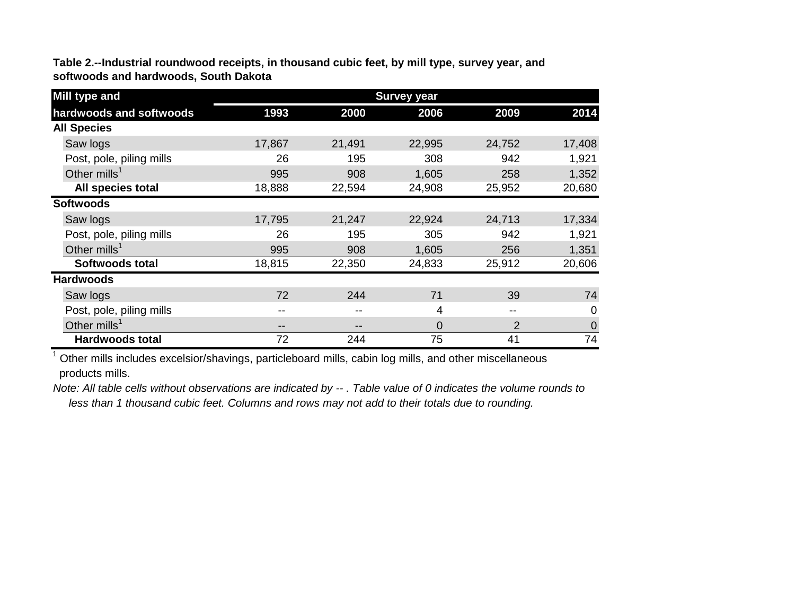**Table 2.--Industrial roundwood receipts, in thousand cubic feet, by mill type, survey year, and softwoods and hardwoods, South Dakota**

| <b>Mill type and</b>     | <b>Survey year</b> |        |          |                |             |  |  |  |
|--------------------------|--------------------|--------|----------|----------------|-------------|--|--|--|
| hardwoods and softwoods  | 1993               | 2000   | 2006     | 2009           | 2014        |  |  |  |
| <b>All Species</b>       |                    |        |          |                |             |  |  |  |
| Saw logs                 | 17,867             | 21,491 | 22,995   | 24,752         | 17,408      |  |  |  |
| Post, pole, piling mills | 26                 | 195    | 308      | 942            | 1,921       |  |  |  |
| Other mills <sup>1</sup> | 995                | 908    | 1,605    | 258            | 1,352       |  |  |  |
| All species total        | 18,888             | 22,594 | 24,908   | 25,952         | 20,680      |  |  |  |
| <b>Softwoods</b>         |                    |        |          |                |             |  |  |  |
| Saw logs                 | 17,795             | 21,247 | 22,924   | 24,713         | 17,334      |  |  |  |
| Post, pole, piling mills | 26                 | 195    | 305      | 942            | 1,921       |  |  |  |
| Other mills <sup>1</sup> | 995                | 908    | 1,605    | 256            | 1,351       |  |  |  |
| <b>Softwoods total</b>   | 18,815             | 22,350 | 24,833   | 25,912         | 20,606      |  |  |  |
| <b>Hardwoods</b>         |                    |        |          |                |             |  |  |  |
| Saw logs                 | 72                 | 244    | 71       | 39             | 74          |  |  |  |
| Post, pole, piling mills | --                 |        | 4        | $- -$          | 0           |  |  |  |
| Other mills <sup>1</sup> | --                 | --     | $\Omega$ | $\overline{2}$ | $\mathbf 0$ |  |  |  |
| Hardwoods total          | 72                 | 244    | 75       | 41             | 74          |  |  |  |

<sup>1</sup> Other mills includes excelsior/shavings, particleboard mills, cabin log mills, and other miscellaneous products mills.

*Note: All table cells without observations are indicated by -- . Table value of 0 indicates the volume rounds to less than 1 thousand cubic feet. Columns and rows may not add to their totals due to rounding.*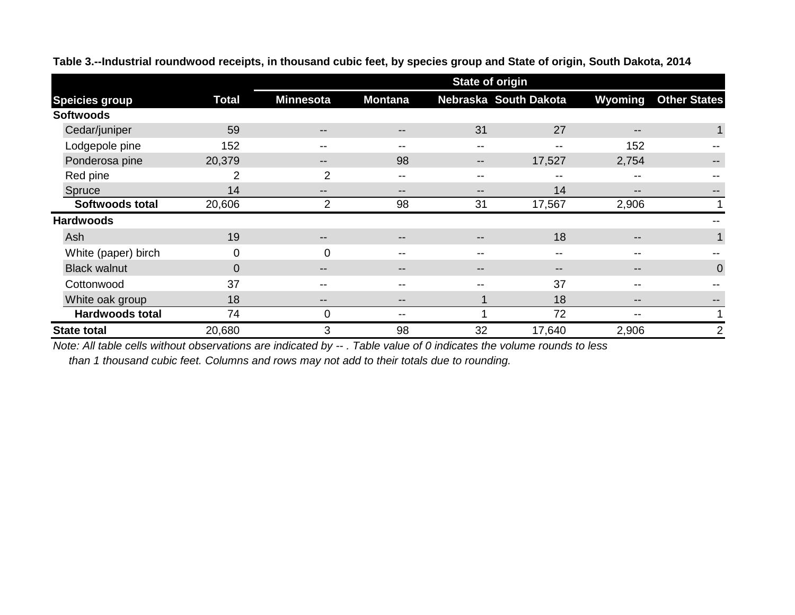|                        |                | <b>State of origin</b>   |                   |                   |                       |                          |                     |  |  |
|------------------------|----------------|--------------------------|-------------------|-------------------|-----------------------|--------------------------|---------------------|--|--|
| <b>Speicies group</b>  | <b>Total</b>   | <b>Minnesota</b>         | <b>Montana</b>    |                   | Nebraska South Dakota | Wyoming                  | <b>Other States</b> |  |  |
| <b>Softwoods</b>       |                |                          |                   |                   |                       |                          |                     |  |  |
| Cedar/juniper          | 59             | $\qquad \qquad -$        | $\qquad \qquad -$ | 31                | 27                    | $\qquad \qquad -$        | $\mathbf{1}$        |  |  |
| Lodgepole pine         | 152            | $- -$                    | $- -$             | --                | --                    | 152                      |                     |  |  |
| Ponderosa pine         | 20,379         | $\overline{\phantom{m}}$ | 98                | $\qquad \qquad -$ | 17,527                | 2,754                    |                     |  |  |
| Red pine               | 2              | $\overline{2}$           | $- -$             | --                | --                    | --                       |                     |  |  |
| Spruce                 | 14             | $\qquad \qquad -$        | $\qquad \qquad -$ | $- -$             | 14                    | $\qquad \qquad -$        | --                  |  |  |
| Softwoods total        | 20,606         | 2                        | 98                | 31                | 17,567                | 2,906                    |                     |  |  |
| <b>Hardwoods</b>       |                |                          |                   |                   |                       |                          |                     |  |  |
| Ash                    | 19             | $\overline{\phantom{m}}$ | $- -$             | $- -$             | 18                    | $\qquad \qquad -$        | 1                   |  |  |
| White (paper) birch    | 0              | 0                        | --                | --                | $- -$                 | --                       |                     |  |  |
| <b>Black walnut</b>    | $\overline{0}$ | $\qquad \qquad -$        | $- -$             | $- -$             | $\qquad \qquad -$     | $\qquad \qquad -$        | $\mathbf 0$         |  |  |
| Cottonwood             | 37             | $- -$                    |                   | --                | 37                    | --                       |                     |  |  |
| White oak group        | 18             | $\qquad \qquad -$        | $- -$             |                   | 18                    | $\qquad \qquad \cdots$   | --                  |  |  |
| <b>Hardwoods total</b> | 74             | $\mathbf 0$              |                   |                   | 72                    | $\overline{\phantom{m}}$ | 1                   |  |  |
| <b>State total</b>     | 20,680         | 3                        | 98                | 32                | 17,640                | 2,906                    | 2                   |  |  |

**Table 3.--Industrial roundwood receipts, in thousand cubic feet, by species group and State of origin, South Dakota, 2014**

*Note: All table cells without observations are indicated by -- . Table value of 0 indicates the volume rounds to less*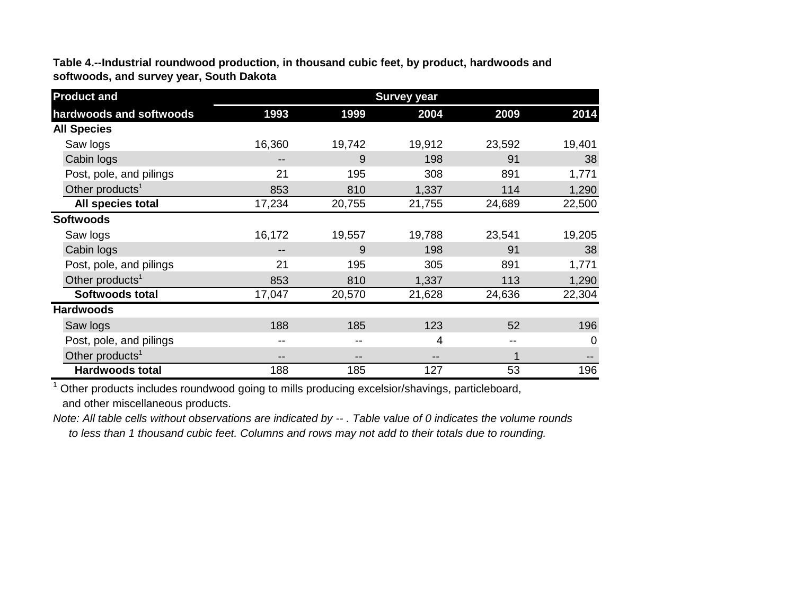**Table 4.--Industrial roundwood production, in thousand cubic feet, by product, hardwoods and softwoods, and survey year, South Dakota**

| <b>Product and</b>          | <b>Survey year</b> |        |        |        |          |  |  |  |
|-----------------------------|--------------------|--------|--------|--------|----------|--|--|--|
| hardwoods and softwoods     | 1993               | 1999   | 2004   | 2009   | 2014     |  |  |  |
| <b>All Species</b>          |                    |        |        |        |          |  |  |  |
| Saw logs                    | 16,360             | 19,742 | 19,912 | 23,592 | 19,401   |  |  |  |
| Cabin logs                  | --                 | 9      | 198    | 91     | 38       |  |  |  |
| Post, pole, and pilings     | 21                 | 195    | 308    | 891    | 1,771    |  |  |  |
| Other products <sup>1</sup> | 853                | 810    | 1,337  | 114    | 1,290    |  |  |  |
| All species total           | 17,234             | 20,755 | 21,755 | 24,689 | 22,500   |  |  |  |
| <b>Softwoods</b>            |                    |        |        |        |          |  |  |  |
| Saw logs                    | 16,172             | 19,557 | 19,788 | 23,541 | 19,205   |  |  |  |
| Cabin logs                  |                    | 9      | 198    | 91     | 38       |  |  |  |
| Post, pole, and pilings     | 21                 | 195    | 305    | 891    | 1,771    |  |  |  |
| Other products <sup>1</sup> | 853                | 810    | 1,337  | 113    | 1,290    |  |  |  |
| <b>Softwoods total</b>      | 17,047             | 20,570 | 21,628 | 24,636 | 22,304   |  |  |  |
| <b>Hardwoods</b>            |                    |        |        |        |          |  |  |  |
| Saw logs                    | 188                | 185    | 123    | 52     | 196      |  |  |  |
| Post, pole, and pilings     | --                 |        | 4      | --     | $\Omega$ |  |  |  |
| Other products <sup>1</sup> | --                 |        | --     |        | $- -$    |  |  |  |
| <b>Hardwoods total</b>      | 188                | 185    | 127    | 53     | 196      |  |  |  |

<sup>1</sup> Other products includes roundwood going to mills producing excelsior/shavings, particleboard, and other miscellaneous products.

*Note: All table cells without observations are indicated by -- . Table value of 0 indicates the volume rounds to less than 1 thousand cubic feet. Columns and rows may not add to their totals due to rounding.*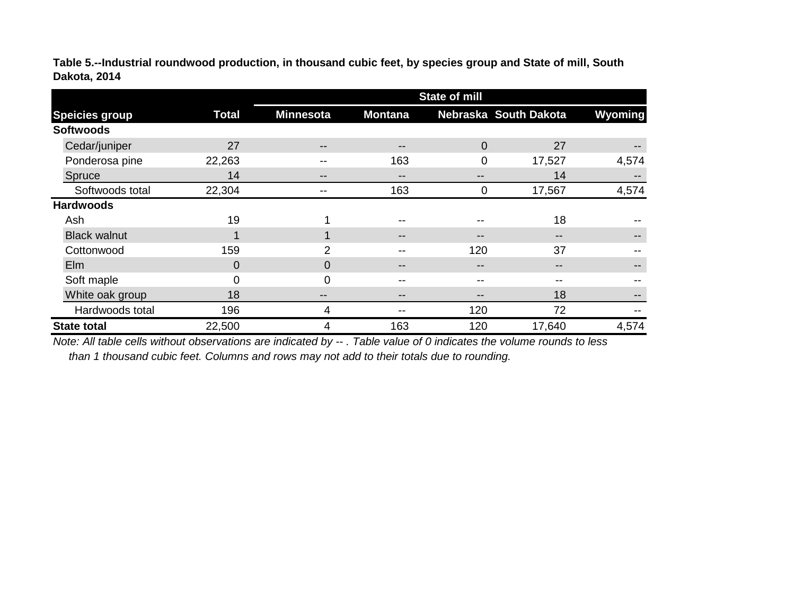**Table 5.--Industrial roundwood production, in thousand cubic feet, by species group and State of mill, South Dakota, 2014**

|                       |              | <b>State of mill</b> |                |       |                       |                   |  |  |
|-----------------------|--------------|----------------------|----------------|-------|-----------------------|-------------------|--|--|
| <b>Speicies group</b> | <b>Total</b> | <b>Minnesota</b>     | <b>Montana</b> |       | Nebraska South Dakota | Wyoming           |  |  |
| <b>Softwoods</b>      |              |                      |                |       |                       |                   |  |  |
| Cedar/juniper         | 27           | $\qquad \qquad -$    | --             | 0     | 27                    | $\qquad \qquad -$ |  |  |
| Ponderosa pine        | 22,263       | --                   | 163            | 0     | 17,527                | 4,574             |  |  |
| Spruce                | 14           | --                   | --             | --    | 14                    | $- -$             |  |  |
| Softwoods total       | 22,304       | --                   | 163            | 0     | 17,567                | 4,574             |  |  |
| <b>Hardwoods</b>      |              |                      |                |       |                       |                   |  |  |
| Ash                   | 19           | 4                    | --             | --    | 18                    |                   |  |  |
| <b>Black walnut</b>   |              | 1                    | --             | $- -$ | --                    | --                |  |  |
| Cottonwood            | 159          | 2                    |                | 120   | 37                    |                   |  |  |
| Elm                   | $\Omega$     | $\mathbf 0$          | --             | --    | $- -$                 | $\qquad \qquad -$ |  |  |
| Soft maple            | 0            | $\mathbf 0$          | $- -$          | --    | --                    |                   |  |  |
| White oak group       | 18           | --                   | --             | --    | 18                    | $\qquad \qquad -$ |  |  |
| Hardwoods total       | 196          | 4                    |                | 120   | 72                    | $- -$             |  |  |
| <b>State total</b>    | 22,500       | 4                    | 163            | 120   | 17,640                | 4,574             |  |  |

*Note: All table cells without observations are indicated by -- . Table value of 0 indicates the volume rounds to less than 1 thousand cubic feet. Columns and rows may not add to their totals due to rounding.*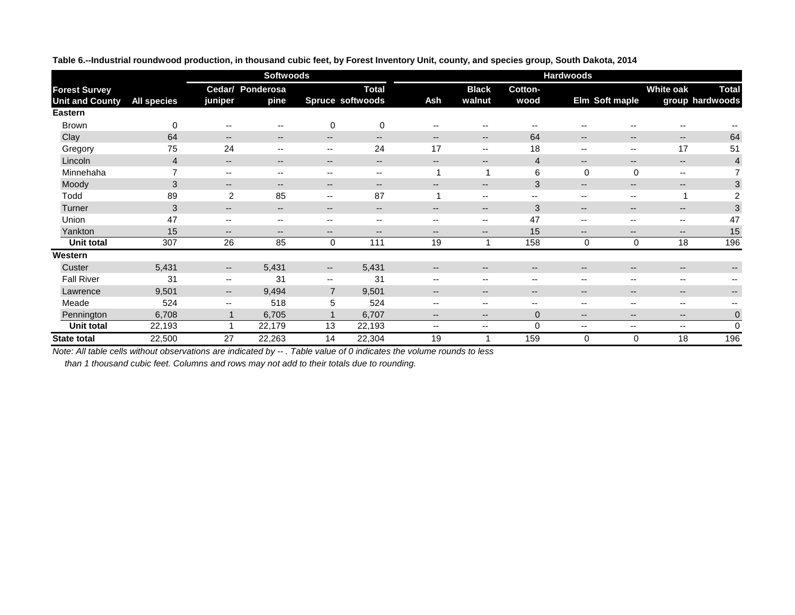|                        |                    | <b>Softwoods</b><br><b>Hardwoods</b>           |                                       |                                       |                                       |                          |                                       |                          |                                       |                                       |                                       |                          |
|------------------------|--------------------|------------------------------------------------|---------------------------------------|---------------------------------------|---------------------------------------|--------------------------|---------------------------------------|--------------------------|---------------------------------------|---------------------------------------|---------------------------------------|--------------------------|
| <b>Forest Survey</b>   |                    |                                                | Cedar/ Ponderosa                      |                                       | <b>Total</b>                          |                          | <b>Black</b>                          | Cotton-                  |                                       |                                       | <b>White oak</b>                      | <b>Total</b>             |
| <b>Unit and County</b> | <b>All species</b> | juniper                                        | pine                                  |                                       | <b>Spruce softwoods</b>               | Ash                      | walnut                                | wood                     |                                       | Elm Soft maple                        |                                       | group hardwoods          |
| <b>Eastern</b>         |                    |                                                |                                       |                                       |                                       |                          |                                       |                          |                                       |                                       |                                       |                          |
| <b>Brown</b>           | $\mathbf 0$        | $\hspace{0.05cm}$ – $\hspace{0.05cm}$          | --                                    | $\pmb{0}$                             | $\overline{0}$                        | $\overline{\phantom{a}}$ | $\hspace{0.05cm}$ – $\hspace{0.05cm}$ | $\overline{\phantom{a}}$ | $\overline{\phantom{a}}$              | $\overline{\phantom{m}}$              | --                                    |                          |
| Clay                   | 64                 | $\hspace{0.05cm}$ – $\hspace{0.05cm}$          | $- -$                                 | $\hspace{0.05cm}$ – $\hspace{0.05cm}$ | $\overline{\phantom{a}}$              | $\qquad \qquad -$        | $\overline{\phantom{m}}$              | 64                       | $\qquad \qquad -$                     | $\hspace{0.05cm}$ – $\hspace{0.05cm}$ | $- -$                                 | 64                       |
| Gregory                | 75                 | 24                                             | --                                    | $\overline{\phantom{m}}$              | 24                                    | 17                       | $- -$                                 | 18                       | $\overline{\phantom{m}}$              | $\overline{\phantom{m}}$              | 17                                    | 51                       |
| Lincoln                | $\overline{4}$     | $\overline{\phantom{m}}$                       | $\qquad \qquad -$                     | $\overline{\phantom{m}}$              | $\overline{\phantom{a}}$              | $\qquad \qquad \cdots$   | $\qquad \qquad -$                     | $\overline{\mathcal{A}}$ | $\qquad \qquad -$                     | $\overline{\phantom{m}}$              | $- -$                                 | $\overline{4}$           |
| Minnehaha              |                    | $\hspace{0.1mm}-\hspace{0.1mm}-\hspace{0.1mm}$ | $\overline{\phantom{a}}$              | $\hspace{0.05cm}$ – $\hspace{0.05cm}$ | $\hspace{0.05cm}$ – $\hspace{0.05cm}$ |                          | 1                                     | 6                        | $\mathbf 0$                           | $\mathbf 0$                           | $\overline{\phantom{a}}$              | 7                        |
| Moody                  | 3                  | $\overline{\phantom{a}}$                       | $\qquad \qquad -$                     | $- -$                                 | $\overline{\phantom{m}}$              | $\overline{\phantom{a}}$ | $\overline{\phantom{m}}$              | 3                        | $--$                                  | $\overline{\phantom{a}}$              | $- -$                                 | 3                        |
| Todd                   | 89                 | $\overline{2}$                                 | 85                                    | $\overline{\phantom{m}}$              | 87                                    |                          | $\overline{\phantom{a}}$              | $\overline{\phantom{a}}$ | $\qquad \qquad -$                     | $- -$                                 | ٠                                     | $\overline{2}$           |
| Turner                 | 3                  | $\overline{\phantom{a}}$                       | $- -$                                 | $\overline{\phantom{a}}$              | $\overline{\phantom{m}}$              | $\qquad \qquad \cdots$   | $\overline{\phantom{a}}$              | 3                        | $\qquad \qquad -$                     | $\overline{\phantom{m}}$              | $\overline{\phantom{m}}$              | 3                        |
| Union                  | 47                 | $\overline{\phantom{m}}$                       | $\hspace{0.05cm}$ – $\hspace{0.05cm}$ | $\hspace{0.05cm}$ – $\hspace{0.05cm}$ | $\hspace{0.05cm}$ – $\hspace{0.05cm}$ | $-$                      | $\overline{\phantom{a}}$              | 47                       | $\overline{\phantom{m}}$              | $\overline{\phantom{m}}$              | $\overline{\phantom{a}}$              | 47                       |
| Yankton                | 15                 | $\overline{\phantom{a}}$                       | $- -$                                 | $\overline{\phantom{a}}$              | $\overline{\phantom{m}}$              | $\overline{\phantom{a}}$ | $\overline{\phantom{a}}$              | 15                       | $- -$                                 | $\overline{\phantom{a}}$              | $- -$                                 | 15                       |
| Unit total             | 307                | 26                                             | 85                                    | $\mathbf 0$                           | 111                                   | 19                       | 1                                     | 158                      | $\mathbf 0$                           | 0                                     | 18                                    | 196                      |
| Western                |                    |                                                |                                       |                                       |                                       |                          |                                       |                          |                                       |                                       |                                       |                          |
| Custer                 | 5,431              | $\overline{\phantom{a}}$                       | 5,431                                 | $\overline{\phantom{a}}$              | 5,431                                 | $- -$                    | $\overline{\phantom{m}}$              | $--$                     | $\qquad \qquad -$                     | $\overline{\phantom{m}}$              | $- -$                                 |                          |
| <b>Fall River</b>      | 31                 | $\overline{\phantom{a}}$                       | 31                                    | $\overline{\phantom{a}}$              | 31                                    | $\overline{\phantom{a}}$ | $- -$                                 | --                       | $\overline{\phantom{m}}$              | $\overline{\phantom{m}}$              | $\overline{\phantom{m}}$              |                          |
| Lawrence               | 9,501              | $\overline{\phantom{a}}$                       | 9,494                                 | $\overline{7}$                        | 9,501                                 | $\overline{\phantom{a}}$ | $\overline{\phantom{a}}$              | $\qquad \qquad -$        | $\qquad \qquad -$                     | $\hspace{0.05cm}$ – $\hspace{0.05cm}$ | $\overline{\phantom{m}}$              | $\overline{\phantom{a}}$ |
| Meade                  | 524                | $\overline{\phantom{a}}$                       | 518                                   | 5                                     | 524                                   | $\overline{\phantom{m}}$ | $\overline{\phantom{a}}$              | $\overline{\phantom{a}}$ | $\hspace{0.05cm}$ – $\hspace{0.05cm}$ | $\overline{\phantom{m}}$              | $\hspace{0.05cm}$ – $\hspace{0.05cm}$ |                          |
| Pennington             | 6,708              |                                                | 6,705                                 |                                       | 6,707                                 | $\overline{\phantom{m}}$ | $\overline{\phantom{a}}$              | $\overline{0}$           | $\qquad \qquad -$                     | $\overline{\phantom{m}}$              | $--$                                  | $\pmb{0}$                |
| <b>Unit total</b>      | 22,193             |                                                | 22,179                                | 13                                    | 22,193                                | $- -$                    | $\overline{\phantom{a}}$              | $\overline{0}$           | $\overline{\phantom{a}}$              | $- -$                                 | $\overline{\phantom{a}}$              | $\mathbf 0$              |
| <b>State total</b>     | 22,500             | 27                                             | 22,263                                | 14                                    | 22,304                                | 19                       |                                       | 159                      | $\mathbf 0$                           | 0                                     | 18                                    | 196                      |

**Table 6.--Industrial roundwood production, in thousand cubic feet, by Forest Inventory Unit, county, and species group, South Dakota, 2014**

*Note: All table cells without observations are indicated by -- . Table value of 0 indicates the volume rounds to less*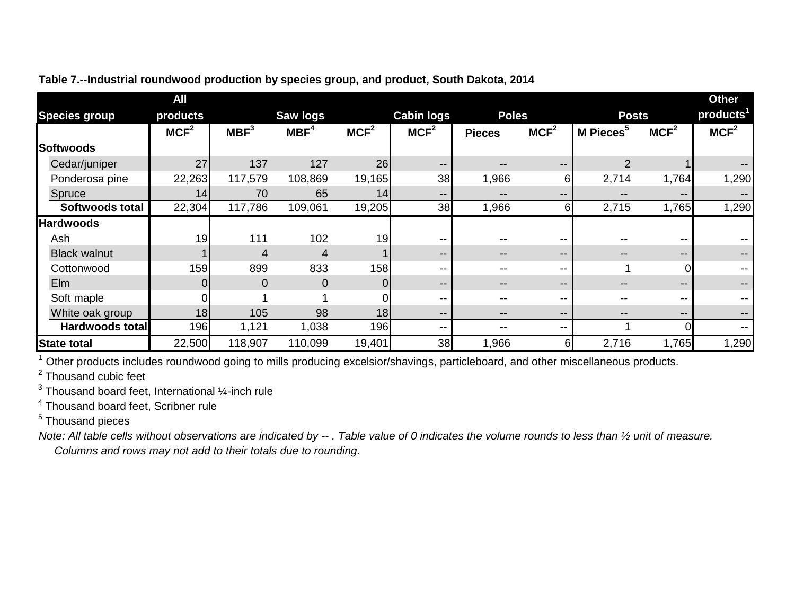|                      | All              |                  |                  |                  |                   |                   |                   |                       |                   | <b>Other</b>          |
|----------------------|------------------|------------------|------------------|------------------|-------------------|-------------------|-------------------|-----------------------|-------------------|-----------------------|
| <b>Species group</b> | products         |                  | <b>Saw logs</b>  |                  | <b>Cabin logs</b> | <b>Poles</b>      |                   | <b>Posts</b>          |                   | products <sup>1</sup> |
|                      | MCF <sup>2</sup> | MBF <sup>3</sup> | MBF <sup>4</sup> | MCF <sup>2</sup> | MCF <sup>2</sup>  | <b>Pieces</b>     | MCF <sup>2</sup>  | M Pieces <sup>5</sup> | MCF <sup>2</sup>  | MCF <sup>2</sup>      |
| Softwoods            |                  |                  |                  |                  |                   |                   |                   |                       |                   |                       |
| Cedar/juniper        | 27               | 137              | 127              | 26               | $- -$             | $- -$             | $- -$             | 2                     |                   |                       |
| Ponderosa pine       | 22,263           | 117,579          | 108,869          | 19,165           | 38                | 1,966             | 61                | 2,714                 | 1,764             | 1,290                 |
| Spruce               | 14               | 70               | 65               | 14               | $\qquad \qquad -$ | $\qquad \qquad -$ | $- -$             | $\qquad \qquad -$     | $- -$             |                       |
| Softwoods total      | 22,304           | 117,786          | 109,061          | 19,205           | 38                | 1,966             | 61                | 2,715                 | 1,765             | 1,290                 |
| <b>Hardwoods</b>     |                  |                  |                  |                  |                   |                   |                   |                       |                   |                       |
| Ash                  | 19               | 111              | 102              | 19               | $- -$             |                   | --                |                       | $- -$             |                       |
| <b>Black walnut</b>  |                  | 4                | 4                |                  | $\qquad \qquad -$ | $\qquad \qquad -$ | $- -$             | $\qquad \qquad -$     | $- -$             |                       |
| Cottonwood           | 159              | 899              | 833              | 158              | $- -$             | --                | --                | 4                     | U                 |                       |
| Elm                  |                  | $\overline{0}$   | 0                |                  | $\qquad \qquad -$ | $- -$             | $\qquad \qquad -$ | $- -$                 | $\qquad \qquad -$ |                       |
| Soft maple           |                  |                  |                  |                  | --                | $- -$             | $- -$             |                       | $- -$             |                       |
| White oak group      | 18               | 105              | 98               | 18               | $\qquad \qquad -$ | $- -$             | --                |                       | $- -$             |                       |
| Hardwoods total      | 196              | 1,121            | 1,038            | 196              | --                | $- -$             | $- -$             |                       |                   |                       |
| <b>State total</b>   | 22,500           | 118,907          | 110,099          | 19,401           | 38                | 1,966             | 61                | 2,716                 | 1,765             | 1,290                 |

# **Table 7.--Industrial roundwood production by species group, and product, South Dakota, 2014**

<sup>1</sup> Other products includes roundwood going to mills producing excelsior/shavings, particleboard, and other miscellaneous products.

<sup>2</sup> Thousand cubic feet

 $3$  Thousand board feet, International  $\frac{1}{4}$ -inch rule

<sup>4</sup> Thousand board feet, Scribner rule

<sup>5</sup> Thousand pieces

*Note: All table cells without observations are indicated by -- . Table value of 0 indicates the volume rounds to less than ½ unit of measure. Columns and rows may not add to their totals due to rounding.*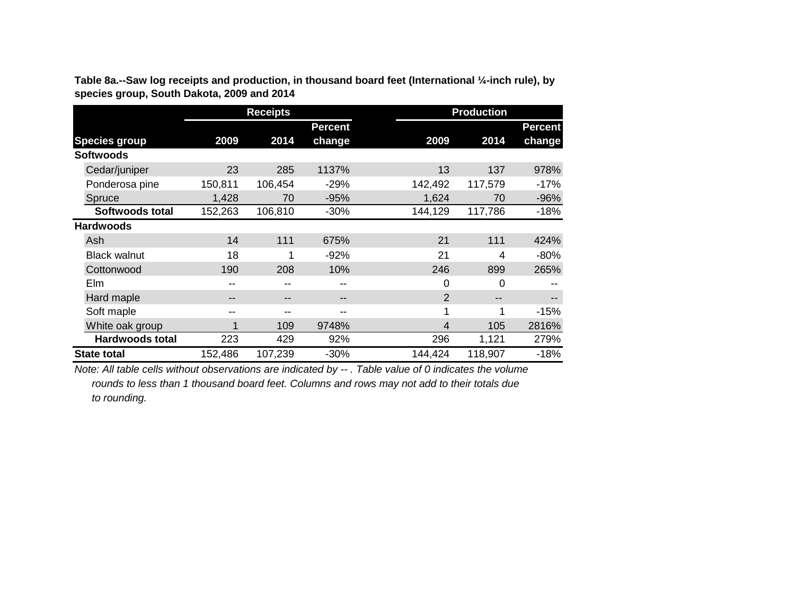|                        |         | <b>Production</b> |                   |                |         |                |
|------------------------|---------|-------------------|-------------------|----------------|---------|----------------|
|                        |         |                   | <b>Percent</b>    |                |         | <b>Percent</b> |
| <b>Species group</b>   | 2009    | 2014              | change            | 2009           | 2014    | change         |
| <b>Softwoods</b>       |         |                   |                   |                |         |                |
| Cedar/juniper          | 23      | 285               | 1137%             | 13             | 137     | 978%           |
| Ponderosa pine         | 150,811 | 106,454           | $-29%$            | 142,492        | 117,579 | $-17%$         |
| Spruce                 | 1,428   | 70                | $-95%$            | 1,624          | 70      | $-96%$         |
| Softwoods total        | 152,263 | 106,810           | $-30%$            | 144,129        | 117,786 | -18%           |
| <b>Hardwoods</b>       |         |                   |                   |                |         |                |
| Ash                    | 14      | 111               | 675%              | 21             | 111     | 424%           |
| <b>Black walnut</b>    | 18      | 1                 | $-92%$            | 21             | 4       | $-80%$         |
| Cottonwood             | 190     | 208               | 10%               | 246            | 899     | 265%           |
| Elm                    | --      |                   | $-$               | 0              | 0       |                |
| Hard maple             | --      | --                | $\qquad \qquad -$ | $\overline{2}$ |         |                |
| Soft maple             | --      |                   | --                | 1              | 1       | $-15%$         |
| White oak group        | и       | 109               | 9748%             | 4              | 105     | 2816%          |
| <b>Hardwoods total</b> | 223     | 429               | 92%               | 296            | 1,121   | 279%           |
| <b>State total</b>     | 152,486 | 107,239           | $-30%$            | 144,424        | 118,907 | $-18%$         |

**Table 8a.--Saw log receipts and production, in thousand board feet (International ¼-inch rule), by species group, South Dakota, 2009 and 2014**

*Note: All table cells without observations are indicated by -- . Table value of 0 indicates the volume rounds to less than 1 thousand board feet. Columns and rows may not add to their totals due to rounding.*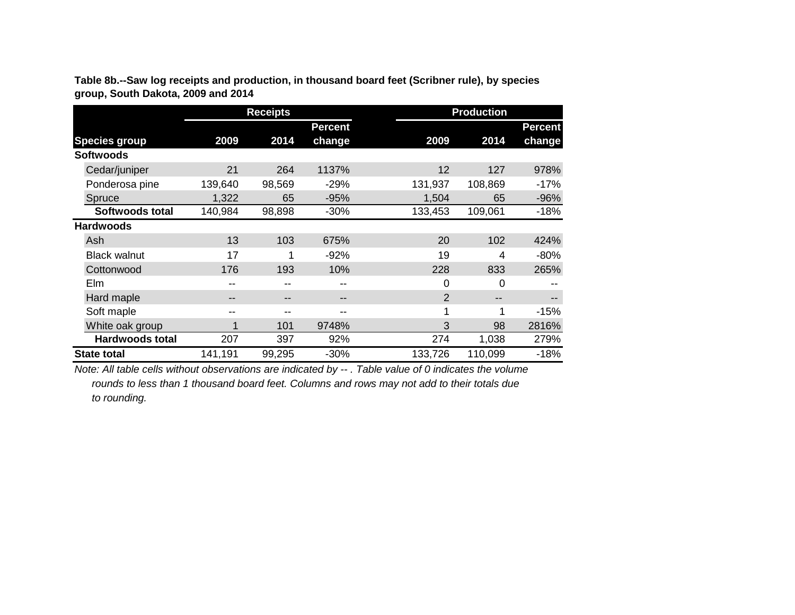|                        |                   | <b>Receipts</b> |                | <b>Production</b> |         |                |  |  |
|------------------------|-------------------|-----------------|----------------|-------------------|---------|----------------|--|--|
|                        |                   |                 | <b>Percent</b> |                   |         | <b>Percent</b> |  |  |
| <b>Species group</b>   | 2009              | 2014            | change         | 2009              | 2014    | change         |  |  |
| <b>Softwoods</b>       |                   |                 |                |                   |         |                |  |  |
| Cedar/juniper          | 21                | 264             | 1137%          | 12                | 127     | 978%           |  |  |
| Ponderosa pine         | 139,640           | 98,569          | $-29%$         | 131,937           | 108,869 | $-17%$         |  |  |
| Spruce                 | 1,322             | 65              | $-95%$         | 1,504             | 65      | $-96%$         |  |  |
| Softwoods total        | 140,984           | 98,898          | $-30%$         | 133,453           | 109,061 | $-18%$         |  |  |
| <b>Hardwoods</b>       |                   |                 |                |                   |         |                |  |  |
| Ash                    | 13                | 103             | 675%           | 20                | 102     | 424%           |  |  |
| <b>Black walnut</b>    | 17                |                 | $-92%$         | 19                | 4       | $-80%$         |  |  |
| Cottonwood             | 176               | 193             | 10%            | 228               | 833     | 265%           |  |  |
| Elm                    | --                |                 | --             | 0                 | 0       |                |  |  |
| Hard maple             | $\qquad \qquad -$ | $- -$           | --             | 2                 | --      |                |  |  |
| Soft maple             | --                |                 | --             |                   | 1       | $-15%$         |  |  |
| White oak group        | 1                 | 101             | 9748%          | 3                 | 98      | 2816%          |  |  |
| <b>Hardwoods total</b> | 207               | 397             | 92%            | 274               | 1,038   | 279%           |  |  |
| <b>State total</b>     | 141,191           | 99,295          | $-30%$         | 133,726           | 110,099 | $-18%$         |  |  |

**Table 8b.--Saw log receipts and production, in thousand board feet (Scribner rule), by species group, South Dakota, 2009 and 2014**

*Note: All table cells without observations are indicated by -- . Table value of 0 indicates the volume rounds to less than 1 thousand board feet. Columns and rows may not add to their totals due to rounding.*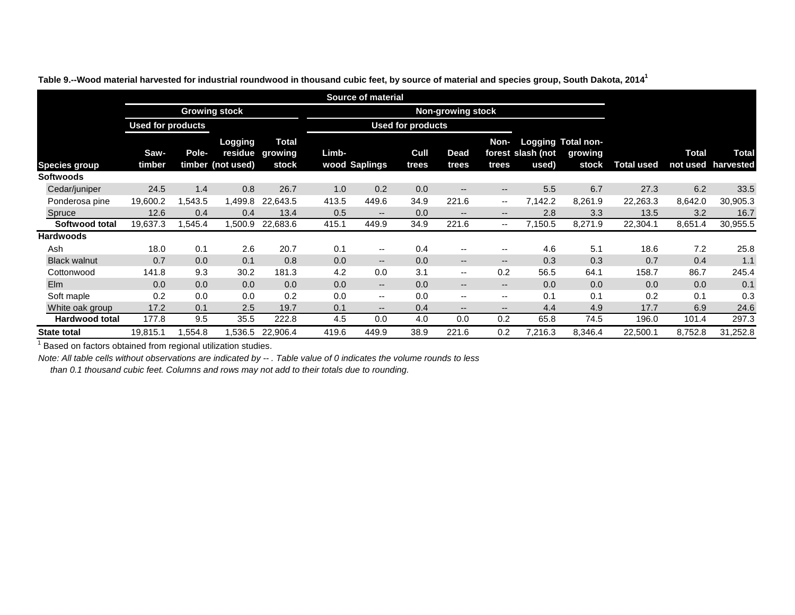|                      |                          |        |                              |                                          |       | <b>Source of material</b> |                          |                                       |                          |                            |                                               |                   |                          |                           |
|----------------------|--------------------------|--------|------------------------------|------------------------------------------|-------|---------------------------|--------------------------|---------------------------------------|--------------------------|----------------------------|-----------------------------------------------|-------------------|--------------------------|---------------------------|
|                      |                          |        | <b>Growing stock</b>         |                                          |       |                           | <b>Non-growing stock</b> |                                       |                          |                            |                                               |                   |                          |                           |
|                      | <b>Used for products</b> |        |                              |                                          |       |                           | <b>Used for products</b> |                                       |                          |                            |                                               |                   |                          |                           |
| <b>Species group</b> | Saw-<br>timber           | Pole-  | Logging<br>timber (not used) | <b>Total</b><br>residue growing<br>stock | Limb- | wood Saplings             | Cull<br>trees            | <b>Dead</b><br>trees                  | Non-<br>trees            | forest slash (not<br>used) | <b>Logging Total non-</b><br>growing<br>stock | <b>Total used</b> | <b>Total</b><br>not used | <b>Total</b><br>harvested |
| <b>Softwoods</b>     |                          |        |                              |                                          |       |                           |                          |                                       |                          |                            |                                               |                   |                          |                           |
| Cedar/juniper        | 24.5                     | 1.4    | 0.8                          | 26.7                                     | 1.0   | 0.2                       | 0.0                      | $\hspace{0.05cm}$ – $\hspace{0.05cm}$ | $\overline{\phantom{m}}$ | 5.5                        | 6.7                                           | 27.3              | 6.2                      | 33.5                      |
| Ponderosa pine       | 19,600.2                 | ,543.5 | 1,499.8                      | 22,643.5                                 | 413.5 | 449.6                     | 34.9                     | 221.6                                 | $\overline{\phantom{m}}$ | 7,142.2                    | 8,261.9                                       | 22,263.3          | 8,642.0                  | 30,905.3                  |
| Spruce               | 12.6                     | 0.4    | 0.4                          | 13.4                                     | 0.5   | $- -$                     | 0.0                      | $\overline{\phantom{a}}$              | $\overline{\phantom{a}}$ | 2.8                        | 3.3                                           | 13.5              | 3.2                      | 16.7                      |
| Softwood total       | 19,637.3                 | ,545.4 | 1,500.9                      | 22,683.6                                 | 415.1 | 449.9                     | 34.9                     | 221.6                                 | $\overline{\phantom{m}}$ | 7,150.5                    | 8,271.9                                       | 22,304.1          | 8,651.4                  | 30,955.5                  |
| <b>Hardwoods</b>     |                          |        |                              |                                          |       |                           |                          |                                       |                          |                            |                                               |                   |                          |                           |
| Ash                  | 18.0                     | 0.1    | 2.6                          | 20.7                                     | 0.1   | $\overline{\phantom{m}}$  | 0.4                      | $\overline{\phantom{m}}$              | $\overline{\phantom{m}}$ | 4.6                        | 5.1                                           | 18.6              | 7.2                      | 25.8                      |
| <b>Black walnut</b>  | 0.7                      | 0.0    | 0.1                          | 0.8                                      | 0.0   | $- -$                     | 0.0                      | $- -$                                 | $\overline{\phantom{a}}$ | 0.3                        | 0.3                                           | 0.7               | 0.4                      | 1.1                       |
| Cottonwood           | 141.8                    | 9.3    | 30.2                         | 181.3                                    | 4.2   | 0.0                       | 3.1                      | $\overline{\phantom{a}}$              | 0.2                      | 56.5                       | 64.1                                          | 158.7             | 86.7                     | 245.4                     |
| <b>Elm</b>           | 0.0                      | 0.0    | 0.0                          | 0.0                                      | 0.0   | $- -$                     | 0.0                      | $\overline{\phantom{a}}$              | $\overline{\phantom{a}}$ | 0.0                        | 0.0                                           | 0.0               | 0.0                      | 0.1                       |
| Soft maple           | 0.2                      | 0.0    | 0.0                          | 0.2                                      | 0.0   | $- -$                     | 0.0                      | $- -$                                 | $\overline{\phantom{m}}$ | 0.1                        | 0.1                                           | 0.2               | 0.1                      | 0.3                       |
| White oak group      | 17.2                     | 0.1    | 2.5                          | 19.7                                     | 0.1   | $- -$                     | 0.4                      | $\overline{\phantom{a}}$              | $\overline{\phantom{a}}$ | 4.4                        | 4.9                                           | 17.7              | 6.9                      | 24.6                      |
| Hardwood total       | 177.8                    | 9.5    | 35.5                         | 222.8                                    | 4.5   | 0.0                       | 4.0                      | 0.0                                   | 0.2                      | 65.8                       | 74.5                                          | 196.0             | 101.4                    | 297.3                     |
| <b>State total</b>   | 19,815.1                 | ,554.8 | 536.5.                       | 22,906.4                                 | 419.6 | 449.9                     | 38.9                     | 221.6                                 | 0.2                      | 7,216.3                    | 8,346.4                                       | 22,500.1          | 8,752.8                  | 31,252.8                  |

**Table 9.--Wood material harvested for industrial roundwood in thousand cubic feet, by source of material and species group, South Dakota, 20141**

 $1$  Based on factors obtained from regional utilization studies.

*Note: All table cells without observations are indicated by -- . Table value of 0 indicates the volume rounds to less*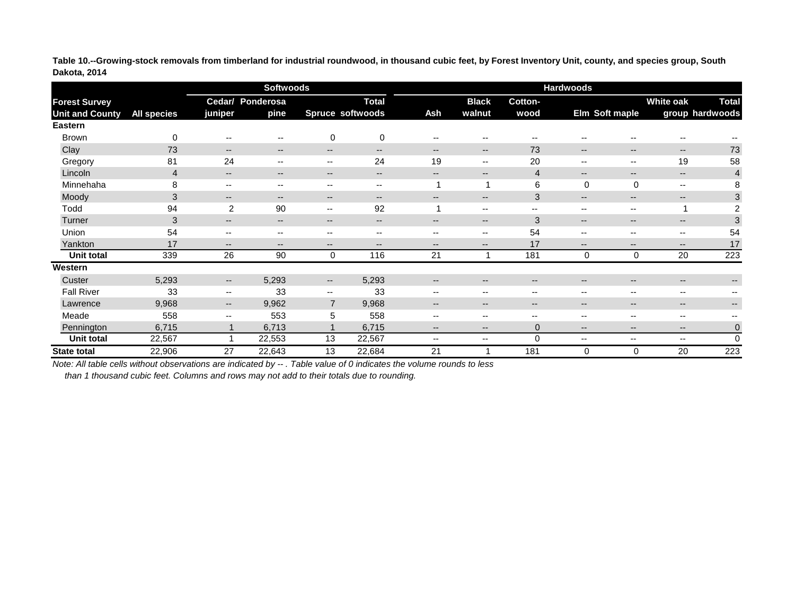**Table 10.--Growing-stock removals from timberland for industrial roundwood, in thousand cubic feet, by Forest Inventory Unit, county, and species group, South Dakota, 2014**

|                        |                    |                                       | <b>Softwoods</b>                      |                                       |                                                | <b>Hardwoods</b>                      |                                       |                          |                          |                                       |                          |                          |  |
|------------------------|--------------------|---------------------------------------|---------------------------------------|---------------------------------------|------------------------------------------------|---------------------------------------|---------------------------------------|--------------------------|--------------------------|---------------------------------------|--------------------------|--------------------------|--|
| <b>Forest Survey</b>   |                    |                                       | Cedar/ Ponderosa                      |                                       | <b>Total</b>                                   |                                       | <b>Black</b>                          | Cotton-                  |                          |                                       | <b>White oak</b>         | <b>Total</b>             |  |
| <b>Unit and County</b> | <b>All species</b> | juniper                               | pine                                  |                                       | Spruce softwoods                               | Ash                                   | walnut                                | wood                     |                          | Elm Soft maple                        |                          | group hardwoods          |  |
| <b>Eastern</b>         |                    |                                       |                                       |                                       |                                                |                                       |                                       |                          |                          |                                       |                          |                          |  |
| <b>Brown</b>           | $\overline{0}$     | $\hspace{0.05cm}$ – $\hspace{0.05cm}$ | $\hspace{0.05cm}$ – $\hspace{0.05cm}$ | $\pmb{0}$                             | $\mathbf 0$                                    | $\overline{\phantom{a}}$              | $\hspace{0.05cm}$ – $\hspace{0.05cm}$ | --                       | --                       | --                                    | --                       |                          |  |
| Clay                   | 73                 | $\qquad \qquad -$                     | $\overline{\phantom{a}}$              | $- -$                                 | $\overline{\phantom{a}}$                       | $\overline{\phantom{a}}$              | $- -$                                 | 73                       | $\overline{\phantom{a}}$ | $\overline{\phantom{a}}$              | $--$                     | 73                       |  |
| Gregory                | 81                 | 24                                    | $\overline{\phantom{a}}$              | $- -$                                 | 24                                             | 19                                    | $- -$                                 | 20                       | $\overline{\phantom{m}}$ | $- -$                                 | 19                       | 58                       |  |
| Lincoln                | $\overline{4}$     | $\overline{\phantom{a}}$              | $\overline{\phantom{m}}$              | $--$                                  | $\overline{\phantom{a}}$                       | $\overline{\phantom{a}}$              | $\hspace{0.05cm}$ – $\hspace{0.05cm}$ | $\overline{4}$           | $\qquad \qquad -$        | $- -$                                 | $--$                     | $\overline{4}$           |  |
| Minnehaha              | 8                  | $- -$                                 | $\hspace{0.05cm} \textbf{--}$         | $- -$                                 | $\hspace{0.1mm}-\hspace{0.1mm}-\hspace{0.1mm}$ |                                       |                                       | $6\phantom{1}6$          | $\mathbf 0$              | $\mathbf 0$                           | $\overline{\phantom{m}}$ | 8                        |  |
| Moody                  | 3                  | $\qquad \qquad -$                     | $\overline{\phantom{a}}$              | $- -$                                 | $\overline{\phantom{a}}$                       | $\overline{\phantom{m}}$              | $\qquad \qquad -$                     | 3                        | $--$                     | $\overline{\phantom{a}}$              | $\qquad \qquad -$        | 3                        |  |
| Todd                   | 94                 | 2                                     | 90                                    | $- -$                                 | 92                                             |                                       | $- -$                                 | $\overline{\phantom{a}}$ | $\qquad \qquad -$        | $\qquad \qquad -$                     | -1                       | $\overline{2}$           |  |
| Turner                 | 3                  | $\qquad \qquad -$                     | $\overline{\phantom{m}}$              | $\qquad \qquad -$                     | $\overline{\phantom{m}}$                       | $\overline{\phantom{m}}$              | $\overline{\phantom{a}}$              | 3                        | $\overline{\phantom{m}}$ | $\overline{\phantom{m}}$              | $\qquad \qquad -$        | 3                        |  |
| Union                  | 54                 | $\overline{\phantom{m}}$              | $\overline{\phantom{a}}$              | $\hspace{0.05cm}$ – $\hspace{0.05cm}$ | $\overline{\phantom{a}}$                       | $\overline{\phantom{a}}$              | $\overline{\phantom{a}}$              | 54                       | $-$                      | $- -$                                 | --                       | 54                       |  |
| Yankton                | 17                 | $- -$                                 | $\overline{\phantom{a}}$              | $- -$                                 | $\hspace{0.05cm}$ – $\hspace{0.05cm}$          | $\hspace{0.05cm}$ – $\hspace{0.05cm}$ | $- -$                                 | 17                       | $--$                     | $- -$                                 | $- -$                    | 17                       |  |
| Unit total             | 339                | 26                                    | 90                                    | $\mathbf 0$                           | 116                                            | 21                                    |                                       | 181                      | 0                        | $\pmb{0}$                             | 20                       | 223                      |  |
| Western                |                    |                                       |                                       |                                       |                                                |                                       |                                       |                          |                          |                                       |                          |                          |  |
| Custer                 | 5,293              | $\overline{\phantom{a}}$              | 5,293                                 | --                                    | 5,293                                          | $\hspace{0.05cm} \textbf{--}$         | $\overline{\phantom{a}}$              | $\overline{\phantom{m}}$ | $\overline{\phantom{a}}$ | $\hspace{0.05cm}$ – $\hspace{0.05cm}$ | $--$                     | $\overline{\phantom{a}}$ |  |
| <b>Fall River</b>      | 33                 | $\overline{\phantom{a}}$              | 33                                    | $- -$                                 | 33                                             | $\overline{\phantom{m}}$              | $\overline{\phantom{m}}$              | $\overline{\phantom{m}}$ | $\overline{\phantom{m}}$ | $\overline{\phantom{m}}$              | $\overline{\phantom{a}}$ | $- -$                    |  |
| Lawrence               | 9,968              | $- -$                                 | 9,962                                 | $\overline{7}$                        | 9,968                                          | $\overline{\phantom{a}}$              | $\overline{\phantom{a}}$              | $- -$                    | $\overline{\phantom{a}}$ | $\overline{\phantom{a}}$              | $\qquad \qquad -$        | $\overline{\phantom{a}}$ |  |
| Meade                  | 558                | $- -$                                 | 553                                   | 5                                     | 558                                            | --                                    | $\overline{\phantom{a}}$              | --                       | $-$                      | --                                    | $\overline{\phantom{a}}$ |                          |  |
| Pennington             | 6,715              |                                       | 6,713                                 |                                       | 6,715                                          | $\overline{\phantom{m}}$              | $\overline{\phantom{a}}$              | $\overline{0}$           | $\qquad \qquad -$        | $\overline{\phantom{m}}$              | $\qquad \qquad -$        | $\mathbf 0$              |  |
| <b>Unit total</b>      | 22,567             |                                       | 22,553                                | 13                                    | 22,567                                         | $\overline{\phantom{a}}$              | $--$                                  | $\overline{0}$           | $\overline{\phantom{a}}$ | $\qquad \qquad -$                     | $\overline{\phantom{a}}$ | $\overline{0}$           |  |
| <b>State total</b>     | 22,906             | 27                                    | 22,643                                | 13                                    | 22,684                                         | 21                                    |                                       | 181                      | 0                        | 0                                     | 20                       | 223                      |  |

*Note: All table cells without observations are indicated by -- . Table value of 0 indicates the volume rounds to less*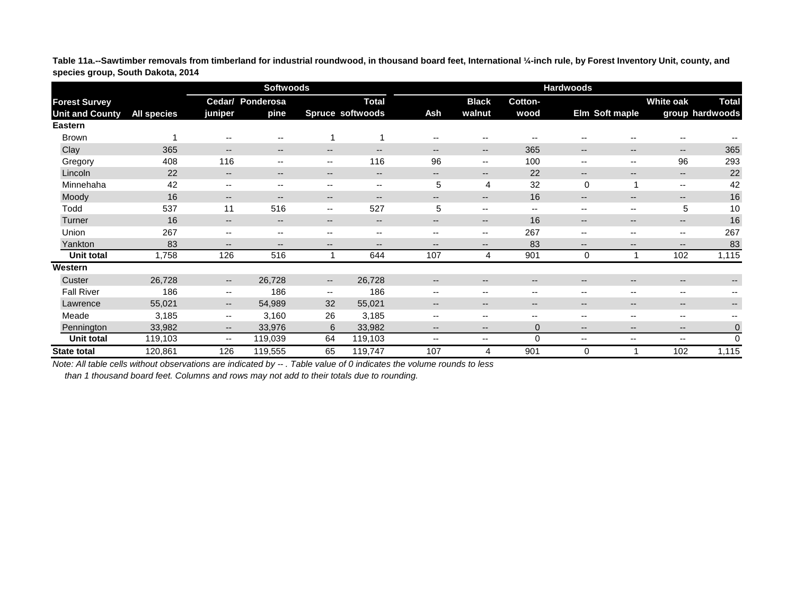**Table 11a.--Sawtimber removals from timberland for industrial roundwood, in thousand board feet, International ¼-inch rule, by Forest Inventory Unit, county, and species group, South Dakota, 2014**

|                        |                    |                                       | <b>Softwoods</b>                      |                          |                                       | <b>Hardwoods</b>              |                                       |                                       |                          |                          |                          |                          |  |
|------------------------|--------------------|---------------------------------------|---------------------------------------|--------------------------|---------------------------------------|-------------------------------|---------------------------------------|---------------------------------------|--------------------------|--------------------------|--------------------------|--------------------------|--|
| <b>Forest Survey</b>   |                    |                                       | Cedar/ Ponderosa                      |                          | <b>Total</b>                          |                               | <b>Black</b>                          | Cotton-                               |                          |                          | <b>White oak</b>         | <b>Total</b>             |  |
| <b>Unit and County</b> | <b>All species</b> | juniper                               | pine                                  |                          | Spruce softwoods                      | Ash                           | walnut                                | wood                                  |                          | Elm Soft maple           |                          | group hardwoods          |  |
| <b>Eastern</b>         |                    |                                       |                                       |                          |                                       |                               |                                       |                                       |                          |                          |                          |                          |  |
| <b>Brown</b>           |                    | $\overline{\phantom{a}}$              | $\hspace{0.05cm}$ – $\hspace{0.05cm}$ |                          |                                       | $\overline{\phantom{a}}$      | $\hspace{0.05cm}$ – $\hspace{0.05cm}$ | --                                    | $\overline{\phantom{m}}$ | $\overline{\phantom{m}}$ | --                       |                          |  |
| Clay                   | 365                | $\overline{\phantom{a}}$              | $\overline{\phantom{a}}$              | $\qquad \qquad -$        | $\qquad \qquad -$                     | $\overline{\phantom{m}}$      | $--$                                  | 365                                   | $\overline{\phantom{a}}$ | $\overline{\phantom{a}}$ | $--$                     | 365                      |  |
| Gregory                | 408                | 116                                   | $\overline{\phantom{m}}$              | $- -$                    | 116                                   | 96                            | $\overline{\phantom{m}}$              | 100                                   | $\overline{\phantom{m}}$ | $\overline{\phantom{m}}$ | 96                       | 293                      |  |
| Lincoln                | 22                 | $\overline{\phantom{a}}$              | $\overline{\phantom{a}}$              | $--$                     | $\hspace{0.05cm}$ – $\hspace{0.05cm}$ | $\overline{\phantom{a}}$      | $\hspace{0.05cm}$ – $\hspace{0.05cm}$ | 22                                    | $--$                     | $\overline{\phantom{m}}$ | --                       | 22                       |  |
| Minnehaha              | 42                 | $\overline{\phantom{m}}$              | $\overline{\phantom{a}}$              | $- -$                    | $\overline{\phantom{m}}$              | 5                             | 4                                     | 32                                    | 0                        | 1                        | $\overline{\phantom{a}}$ | 42                       |  |
| Moody                  | 16                 | $\qquad \qquad -$                     | $- -$                                 | $- -$                    | $\overline{\phantom{a}}$              | $- -$                         | $\overline{\phantom{a}}$              | 16                                    | $- -$                    | $\qquad \qquad -$        | $--$                     | 16                       |  |
| Todd                   | 537                | 11                                    | 516                                   | $- -$                    | 527                                   | 5                             | $\overline{\phantom{a}}$              | $\hspace{0.05cm}$ – $\hspace{0.05cm}$ | $-$                      | $\overline{\phantom{m}}$ | 5                        | 10                       |  |
| Turner                 | 16                 | $\overline{\phantom{a}}$              | $\overline{\phantom{m}}$              | $- -$                    | $\overline{\phantom{m}}$              | $\overline{\phantom{m}}$      | $- -$                                 | 16                                    | $\qquad \qquad -$        | $\overline{\phantom{m}}$ | $\qquad \qquad -$        | 16                       |  |
| Union                  | 267                | $\overline{\phantom{m}}$              | $\overline{\phantom{m}}$              | $\overline{\phantom{m}}$ | $\overline{\phantom{m}}$              | $\overline{\phantom{m}}$      | $\overline{\phantom{m}}$              | 267                                   | $\qquad \qquad -$        | $\overline{\phantom{m}}$ | --                       | 267                      |  |
| Yankton                | 83                 | $\overline{\phantom{a}}$              | $\overline{\phantom{a}}$              | $--$                     | $\overline{\phantom{m}}$              | $\qquad \qquad -$             | $--$                                  | 83                                    | $- -$                    | $\overline{\phantom{a}}$ | $\qquad \qquad -$        | 83                       |  |
| Unit total             | 1,758              | 126                                   | 516                                   |                          | 644                                   | 107                           | 4                                     | 901                                   | 0                        | 1                        | 102                      | 1,115                    |  |
| Western                |                    |                                       |                                       |                          |                                       |                               |                                       |                                       |                          |                          |                          |                          |  |
| Custer                 | 26,728             | $\hspace{0.05cm}$ – $\hspace{0.05cm}$ | 26,728                                | $--$                     | 26,728                                | $\hspace{0.05cm} \textbf{--}$ | $\hspace{0.05cm}$ – $\hspace{0.05cm}$ | $\overline{\phantom{m}}$              | $\overline{\phantom{a}}$ | $\overline{\phantom{m}}$ | $\qquad \qquad -$        | $\overline{\phantom{a}}$ |  |
| <b>Fall River</b>      | 186                | $\overline{\phantom{a}}$              | 186                                   | $\overline{\phantom{a}}$ | 186                                   | $\overline{\phantom{a}}$      | $\overline{\phantom{a}}$              | $\overline{\phantom{a}}$              | $- -$                    | $\overline{\phantom{m}}$ | $- -$                    | $- -$                    |  |
| Lawrence               | 55,021             | $--$                                  | 54,989                                | 32                       | 55,021                                | $\overline{\phantom{a}}$      | $\overline{\phantom{a}}$              | $- -$                                 | $\qquad \qquad -$        | $\qquad \qquad -$        | $\qquad \qquad -$        | $\overline{\phantom{a}}$ |  |
| Meade                  | 3,185              | $- -$                                 | 3,160                                 | 26                       | 3,185                                 | $\overline{\phantom{a}}$      | $\overline{\phantom{m}}$              | --                                    | $-$                      | --                       | $\overline{\phantom{a}}$ |                          |  |
| Pennington             | 33,982             | $\qquad \qquad -$                     | 33,976                                | $6\phantom{1}$           | 33,982                                | $\overline{\phantom{m}}$      | $\overline{\phantom{a}}$              | $\overline{0}$                        | $\qquad \qquad -$        | $\overline{\phantom{m}}$ | $\qquad \qquad -$        | $\pmb{0}$                |  |
| Unit total             | 119,103            | $\overline{\phantom{a}}$              | 119,039                               | 64                       | 119,103                               | $\overline{\phantom{a}}$      | $--$                                  | $\mathbf 0$                           | $\overline{\phantom{a}}$ | $\qquad \qquad -$        | $\overline{\phantom{a}}$ | $\mathbf 0$              |  |
| <b>State total</b>     | 120,861            | 126                                   | 119,555                               | 65                       | 119,747                               | 107                           | 4                                     | 901                                   | 0                        |                          | 102                      | 1,115                    |  |

*Note: All table cells without observations are indicated by -- . Table value of 0 indicates the volume rounds to less*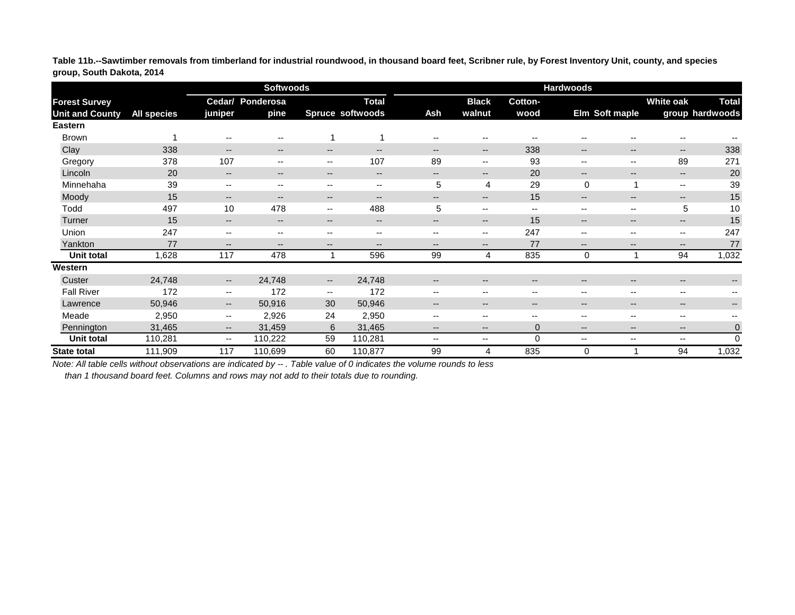**Table 11b.--Sawtimber removals from timberland for industrial roundwood, in thousand board feet, Scribner rule, by Forest Inventory Unit, county, and species group, South Dakota, 2014**

|                        |                    |                                       | <b>Softwoods</b>                      |                          |                                       | <b>Hardwoods</b>         |                          |                                                |                          |                                       |                                       |                   |  |
|------------------------|--------------------|---------------------------------------|---------------------------------------|--------------------------|---------------------------------------|--------------------------|--------------------------|------------------------------------------------|--------------------------|---------------------------------------|---------------------------------------|-------------------|--|
| <b>Forest Survey</b>   |                    |                                       | <b>Cedar/ Ponderosa</b>               |                          | <b>Total</b>                          |                          | <b>Black</b>             | <b>Cotton-</b>                                 |                          |                                       | <b>White oak</b>                      | <b>Total</b>      |  |
| <b>Unit and County</b> | <b>All species</b> | juniper                               | pine                                  |                          | <b>Spruce softwoods</b>               | <b>Ash</b>               | walnut                   | wood                                           |                          | Elm Soft maple                        |                                       | group hardwoods   |  |
| <b>Eastern</b>         |                    |                                       |                                       |                          |                                       |                          |                          |                                                |                          |                                       |                                       |                   |  |
| <b>Brown</b>           |                    | $\hspace{0.05cm}$ – $\hspace{0.05cm}$ | $\hspace{0.05cm}$ – $\hspace{0.05cm}$ |                          |                                       | $-$                      | $- -$                    | $\hspace{0.05cm}$ – $\hspace{0.05cm}$          | $-$                      | $\overline{\phantom{m}}$              | $\overline{\phantom{m}}$              |                   |  |
| Clay                   | 338                | $\qquad \qquad -$                     | $\overline{\phantom{a}}$              | --                       | $\hspace{0.05cm}$ – $\hspace{0.05cm}$ | $\overline{\phantom{a}}$ | $--$                     | 338                                            | $\overline{\phantom{a}}$ | $\hspace{0.05cm}$ – $\hspace{0.05cm}$ | $\overline{\phantom{a}}$              | 338               |  |
| Gregory                | 378                | 107                                   | $\overline{\phantom{a}}$              | --                       | 107                                   | 89                       | $- -$                    | 93                                             | $-$                      | $- -$                                 | 89                                    | 271               |  |
| Lincoln                | 20                 | $\qquad \qquad -$                     | $\overline{\phantom{a}}$              | $\qquad \qquad -$        | $\hspace{0.05cm}$ – $\hspace{0.05cm}$ | $\qquad \qquad -$        | $\qquad \qquad -$        | 20                                             | $\overline{\phantom{m}}$ | $\overline{\phantom{m}}$              | $\hspace{0.05cm}$ – $\hspace{0.05cm}$ | 20                |  |
| Minnehaha              | 39                 | $- -$                                 | $- -$                                 | $- -$                    | $\overline{\phantom{a}}$              | 5                        | 4                        | 29                                             | $\mathbf 0$              |                                       | $\overline{\phantom{a}}$              | 39                |  |
| Moody                  | 15                 | $\qquad \qquad -$                     | $\overline{\phantom{a}}$              | $- -$                    | $\overline{\phantom{m}}$              | --                       | $\qquad \qquad \cdots$   | 15                                             | $\overline{\phantom{a}}$ | $\overline{\phantom{a}}$              | $\overline{\phantom{m}}$              | 15                |  |
| Todd                   | 497                | 10                                    | 478                                   | $\overline{\phantom{a}}$ | 488                                   | 5                        | $\overline{\phantom{a}}$ | $\hspace{0.1mm}-\hspace{0.1mm}-\hspace{0.1mm}$ | $\overline{\phantom{a}}$ | $--$                                  | 5                                     | 10                |  |
| Turner                 | 15                 | $--$                                  | $\overline{\phantom{a}}$              | $\qquad \qquad -$        | $\overline{\phantom{a}}$              | $\qquad \qquad -$        | $\qquad \qquad -$        | 15                                             | $\overline{\phantom{a}}$ | $- -$                                 | $\hspace{0.05cm}$ – $\hspace{0.05cm}$ | 15                |  |
| Union                  | 247                | $\overline{\phantom{m}}$              | $\overline{\phantom{a}}$              | --                       | $--$                                  | $- -$                    | $--$                     | 247                                            | $\overline{\phantom{a}}$ | $--$                                  | $\hspace{0.05cm}$ – $\hspace{0.05cm}$ | 247               |  |
| Yankton                | 77                 | $--$                                  | $\overline{\phantom{a}}$              | $--$                     | $\overline{\phantom{a}}$              | $\overline{\phantom{m}}$ | $--$                     | 77                                             | $\overline{\phantom{a}}$ | $\overline{\phantom{a}}$              | $\qquad \qquad -$                     | 77                |  |
| Unit total             | 1,628              | 117                                   | 478                                   | 1                        | 596                                   | 99                       | 4                        | 835                                            | $\mathbf 0$              |                                       | 94                                    | 1,032             |  |
| Western                |                    |                                       |                                       |                          |                                       |                          |                          |                                                |                          |                                       |                                       |                   |  |
| Custer                 | 24,748             | $\hspace{0.05cm}$ – $\hspace{0.05cm}$ | 24,748                                | $\overline{\phantom{a}}$ | 24,748                                | $\overline{\phantom{a}}$ | $\qquad \qquad -$        | $\hspace{0.05cm}$ – $\hspace{0.05cm}$          | $\overline{\phantom{m}}$ | $\overline{\phantom{a}}$              | $\hspace{0.05cm}$ – $\hspace{0.05cm}$ | $\qquad \qquad -$ |  |
| <b>Fall River</b>      | 172                | $- -$                                 | 172                                   | $- -$                    | 172                                   | $\overline{\phantom{m}}$ | $\overline{\phantom{a}}$ | $\overline{\phantom{a}}$                       | $\overline{\phantom{a}}$ | $\overline{\phantom{m}}$              | $\overline{\phantom{m}}$              |                   |  |
| Lawrence               | 50,946             | $--$                                  | 50,916                                | 30                       | 50,946                                | $\overline{\phantom{a}}$ | $\qquad \qquad -$        | $\hspace{0.05cm}$ – $\hspace{0.05cm}$          | $\overline{\phantom{a}}$ | $\hspace{0.05cm}$ – $\hspace{0.05cm}$ | $\overline{\phantom{m}}$              | $\qquad \qquad -$ |  |
| Meade                  | 2,950              | $- -$                                 | 2,926                                 | 24                       | 2,950                                 | --                       | $- -$                    | $\hspace{0.05cm}$ – $\hspace{0.05cm}$          | $\overline{\phantom{a}}$ | $\overline{\phantom{m}}$              | --                                    |                   |  |
| Pennington             | 31,465             | $\qquad \qquad -$                     | 31,459                                | $6\phantom{1}$           | 31,465                                | $\overline{\phantom{m}}$ | $- -$                    | $\mathbf 0$                                    | $\overline{\phantom{m}}$ | $\overline{\phantom{a}}$              | $\overline{\phantom{m}}$              | $\mathbf 0$       |  |
| Unit total             | 110,281            | $\overline{\phantom{a}}$              | 110,222                               | 59                       | 110,281                               | $\overline{\phantom{a}}$ | $- -$                    | 0                                              | $\overline{\phantom{a}}$ | $--$                                  | $\overline{\phantom{a}}$              | $\mathbf 0$       |  |
| <b>State total</b>     | 111,909            | 117                                   | 110,699                               | 60                       | 110,877                               | 99                       | 4                        | 835                                            | $\mathbf 0$              |                                       | 94                                    | 1,032             |  |

*Note: All table cells without observations are indicated by -- . Table value of 0 indicates the volume rounds to less*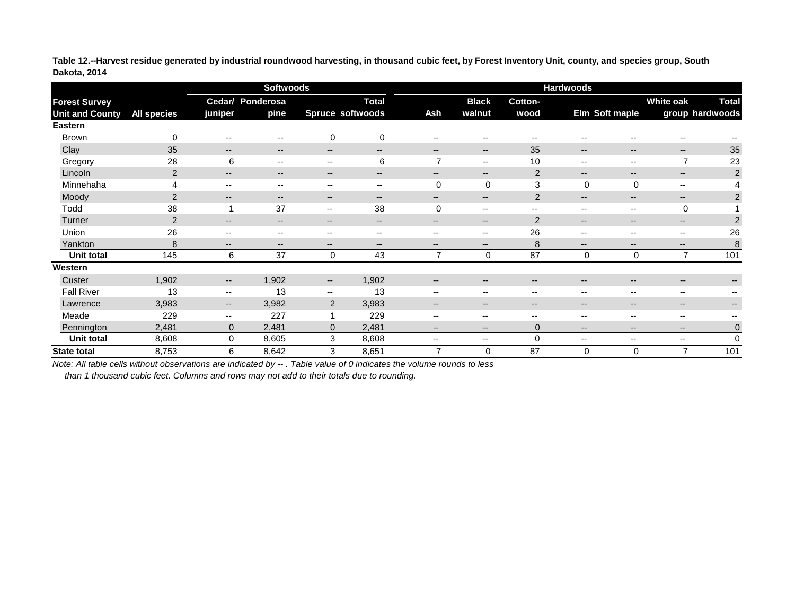**Table 12.--Harvest residue generated by industrial roundwood harvesting, in thousand cubic feet, by Forest Inventory Unit, county, and species group, South Dakota, 2014**

|                                                |                    |                                       | <b>Softwoods</b>         |                          |                                         | <b>Hardwoods</b>         |                                       |                                       |                          |                                       |                          |                                 |  |
|------------------------------------------------|--------------------|---------------------------------------|--------------------------|--------------------------|-----------------------------------------|--------------------------|---------------------------------------|---------------------------------------|--------------------------|---------------------------------------|--------------------------|---------------------------------|--|
| <b>Forest Survey</b><br><b>Unit and County</b> | <b>All species</b> | juniper                               | Cedar/ Ponderosa<br>pine |                          | <b>Total</b><br><b>Spruce softwoods</b> | <b>Ash</b>               | <b>Black</b><br>walnut                | Cotton-<br>wood                       |                          | Elm Soft maple                        | <b>White oak</b>         | <b>Total</b><br>group hardwoods |  |
| <b>Eastern</b>                                 |                    |                                       |                          |                          |                                         |                          |                                       |                                       |                          |                                       |                          |                                 |  |
| <b>Brown</b>                                   | $\mathbf 0$        | $\hspace{0.05cm}$ – $\hspace{0.05cm}$ | $\overline{\phantom{a}}$ | $\mathbf 0$              | $\mathbf 0$                             | $\overline{\phantom{a}}$ | $\hspace{0.05cm}$ – $\hspace{0.05cm}$ | --                                    | $-$                      | --                                    | $\overline{\phantom{a}}$ |                                 |  |
| Clay                                           | 35                 | $\qquad \qquad -$                     | $\overline{\phantom{a}}$ | $\qquad \qquad -$        | $\hspace{0.05cm}$ – $\hspace{0.05cm}$   | $\overline{\phantom{m}}$ | $\hspace{0.05cm}$ – $\hspace{0.05cm}$ | 35                                    | $\overline{\phantom{a}}$ | $\overline{\phantom{a}}$              | $--$                     | 35                              |  |
| Gregory                                        | 28                 | 6                                     | $\overline{\phantom{m}}$ | --                       | $\,6$                                   | $\overline{\phantom{a}}$ | $\overline{\phantom{a}}$              | 10                                    | $-$                      | $\overline{\phantom{a}}$              | 7                        | 23                              |  |
| Lincoln                                        | $\overline{2}$     | $- -$                                 | $\overline{\phantom{a}}$ | $- -$                    | $\hspace{0.05cm}$ – $\hspace{0.05cm}$   | $\overline{\phantom{a}}$ | $- -$                                 | $\overline{2}$                        | $- -$                    | $\overline{\phantom{a}}$              | $--$                     | $\overline{2}$                  |  |
| Minnehaha                                      | 4                  | $- -$                                 | $\overline{\phantom{a}}$ | $- -$                    | $\overline{\phantom{a}}$                | $\mathbf 0$              | $\mathbf 0$                           | 3                                     | 0                        | $\mathbf 0$                           | $\overline{\phantom{a}}$ | 4                               |  |
| Moody                                          | $\overline{2}$     | $\hspace{0.05cm}$ – $\hspace{0.05cm}$ | $- -$                    | $--$                     | $\hspace{0.05cm}$ – $\hspace{0.05cm}$   | $\overline{\phantom{a}}$ | $\overline{\phantom{a}}$              | $\overline{2}$                        | $--$                     | $\overline{\phantom{a}}$              | $--$                     | $\overline{2}$                  |  |
| Todd                                           | 38                 |                                       | 37                       | $\overline{\phantom{m}}$ | 38                                      | $\mathbf 0$              | $\overline{\phantom{m}}$              | $\hspace{0.05cm}$ – $\hspace{0.05cm}$ | $\overline{\phantom{m}}$ | $\overline{\phantom{a}}$              | $\mathbf 0$              |                                 |  |
| Turner                                         | $\overline{2}$     | $\overline{\phantom{m}}$              | $\overline{\phantom{a}}$ | $- -$                    | $\hspace{0.05cm}$ – $\hspace{0.05cm}$   | $\overline{\phantom{m}}$ | $\overline{\phantom{a}}$              | $\overline{2}$                        | --                       | $\overline{\phantom{m}}$              | $\qquad \qquad -$        | $\overline{2}$                  |  |
| Union                                          | 26                 | $\overline{\phantom{m}}$              | $\sim$ $\sim$            | --                       | $\hspace{0.05cm}$ – $\hspace{0.05cm}$   | $\overline{\phantom{a}}$ | $\overline{\phantom{a}}$              | 26                                    | $-$                      | $\overline{\phantom{a}}$              | --                       | 26                              |  |
| Yankton                                        | 8                  | $- -$                                 | $\overline{\phantom{a}}$ | $- -$                    | $\overline{\phantom{m}}$                | $\overline{\phantom{m}}$ | $- -$                                 | 8                                     | $\overline{\phantom{a}}$ | $- -$                                 | $- -$                    | 8                               |  |
| Unit total                                     | 145                | 6                                     | 37                       | $\pmb{0}$                | 43                                      | 7                        | $\pmb{0}$                             | 87                                    | 0                        | $\pmb{0}$                             | $\overline{7}$           | 101                             |  |
| Western                                        |                    |                                       |                          |                          |                                         |                          |                                       |                                       |                          |                                       |                          |                                 |  |
| Custer                                         | 1,902              | $\overline{\phantom{a}}$              | 1,902                    | $\overline{\phantom{a}}$ | 1,902                                   | $\overline{\phantom{m}}$ | $\overline{\phantom{m}}$              | $\overline{\phantom{m}}$              | $\overline{\phantom{m}}$ | $\hspace{0.05cm}$ – $\hspace{0.05cm}$ | $\qquad \qquad -$        | $- -$                           |  |
| <b>Fall River</b>                              | 13                 | $- -$                                 | 13                       | $- -$                    | 13                                      | $\overline{\phantom{a}}$ | $\overline{\phantom{m}}$              | $\overline{\phantom{m}}$              | $\overline{\phantom{m}}$ | $\overline{\phantom{m}}$              | --                       |                                 |  |
| Lawrence                                       | 3,983              | $- -$                                 | 3,982                    | $\overline{2}$           | 3,983                                   | $\overline{\phantom{a}}$ | $\overline{\phantom{a}}$              | $- -$                                 | $\overline{\phantom{a}}$ | $\overline{\phantom{a}}$              | $\qquad \qquad -$        | $- -$                           |  |
| Meade                                          | 229                | $\overline{\phantom{a}}$              | 227                      | 1                        | 229                                     | $\overline{\phantom{a}}$ | $\overline{\phantom{a}}$              | --                                    | $-$                      | $- -$                                 | $\qquad \qquad -$        |                                 |  |
| Pennington                                     | 2,481              | $\mathbf 0$                           | 2,481                    | $\boldsymbol{0}$         | 2,481                                   | $\overline{\phantom{m}}$ | $- -$                                 | $\mathbf 0$                           | $- -$                    | $\overline{\phantom{a}}$              | $\qquad \qquad -$        | $\mathbf 0$                     |  |
| <b>Unit total</b>                              | 8,608              | $\mathbf 0$                           | 8,605                    | 3                        | 8,608                                   | $\overline{\phantom{a}}$ | $\overline{\phantom{a}}$              | $\mathbf 0$                           | $\overline{\phantom{m}}$ | $--$                                  | $\overline{\phantom{a}}$ | $\overline{0}$                  |  |
| <b>State total</b>                             | 8,753              | 6                                     | 8,642                    | 3                        | 8,651                                   | ⇁                        | $\mathbf 0$                           | 87                                    | 0                        | $\mathbf 0$                           | 7                        | 101                             |  |

*Note: All table cells without observations are indicated by -- . Table value of 0 indicates the volume rounds to less*